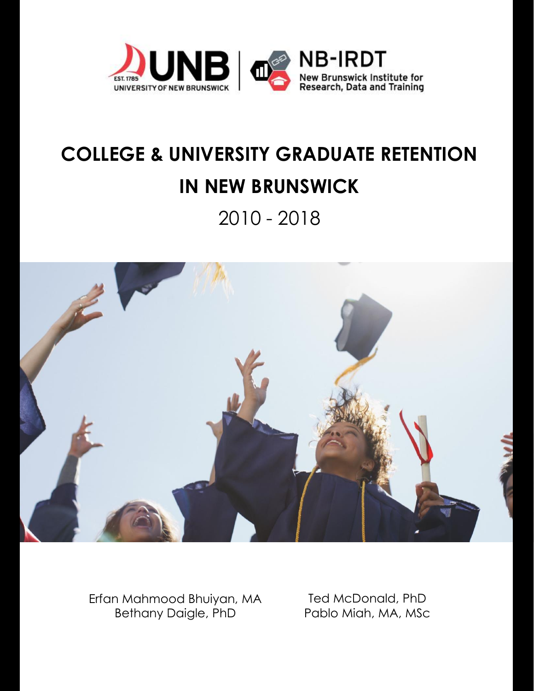

# **COLLEGE & UNIVERSITY GRADUATE RETENTION IN NEW BRUNSWICK**

2010 - 2018



Erfan Mahmood Bhuiyan, MA Bethany Daigle, PhD

Ted McDonald, PhD Pablo Miah, MA, MSc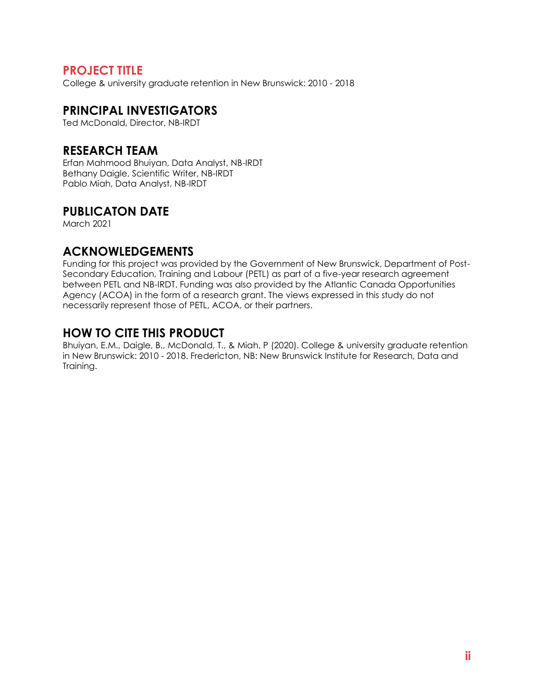# **PROJECT TITLE**

College & university graduate retention in New Brunswick: 2010 - 2018

# **PRINCIPAL INVESTIGATORS**

Ted McDonald, Director, NB-IRDT

# **RESEARCH TEAM**

Erfan Mahmood Bhuiyan, Data Analyst, NB-IRDT Bethany Daigle, Scientific Writer, NB-IRDT Pablo Miah, Data Analyst, NB-IRDT

# **PUBLICATON DATE**

March 2021

# **ACKNOWLEDGEMENTS**

Funding for this project was provided by the Government of New Brunswick, Department of Post-Secondary Education, Training and Labour (PETL) as part of a five-year research agreement between PETL and NB-IRDT. Funding was also provided by the Atlantic Canada Opportunities Agency (ACOA) in the form of a research grant. The views expressed in this study do not necessarily represent those of PETL, ACOA, or their partners.

# **HOW TO CITE THIS PRODUCT**

Bhuiyan, E.M., Daigle, B., McDonald, T., & Miah, P (2020). College & university graduate retention in New Brunswick: 2010 - 2018. Fredericton, NB: New Brunswick Institute for Research, Data and Training.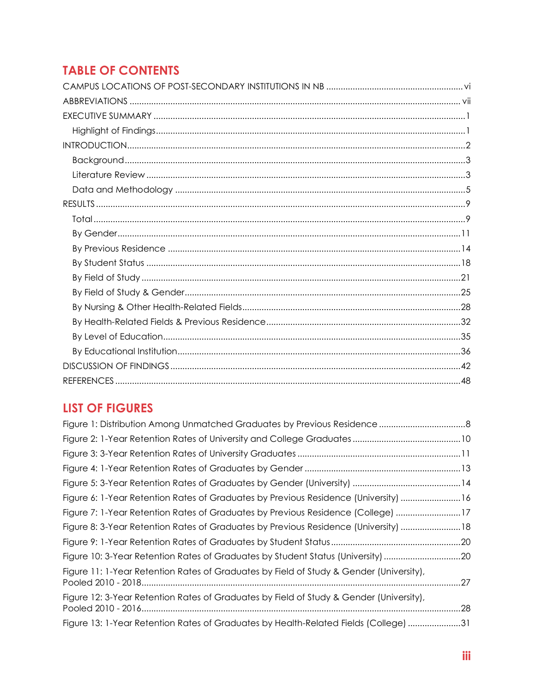# **TABLE OF CONTENTS**

# **LIST OF FIGURES**

| Figure 6: 1-Year Retention Rates of Graduates by Previous Residence (University)  16    |  |
|-----------------------------------------------------------------------------------------|--|
| Figure 7: 1-Year Retention Rates of Graduates by Previous Residence (College) 17        |  |
| Figure 8: 3-Year Retention Rates of Graduates by Previous Residence (University)  18    |  |
|                                                                                         |  |
| Figure 10: 3-Year Retention Rates of Graduates by Student Status (University) 20        |  |
| Figure 11: 1-Year Retention Rates of Graduates by Field of Study & Gender (University), |  |
| Figure 12: 3-Year Retention Rates of Graduates by Field of Study & Gender (University), |  |
| Figure 13: 1-Year Retention Rates of Graduates by Health-Related Fields (College) 31    |  |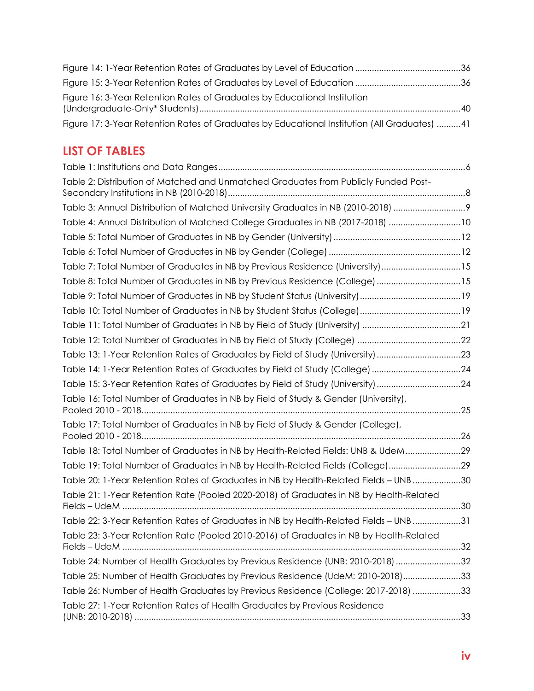| Figure 16: 3-Year Retention Rates of Graduates by Educational Institution                    |  |
|----------------------------------------------------------------------------------------------|--|
| Figure 17: 3-Year Retention Rates of Graduates by Educational Institution (All Graduates) 41 |  |

# **LIST OF TABLES**

| Table 2: Distribution of Matched and Unmatched Graduates from Publicly Funded Post-     |
|-----------------------------------------------------------------------------------------|
| Table 3: Annual Distribution of Matched University Graduates in NB (2010-2018)          |
| Table 4: Annual Distribution of Matched College Graduates in NB (2017-2018) 10          |
|                                                                                         |
|                                                                                         |
| Table 7: Total Number of Graduates in NB by Previous Residence (University) 15          |
| Table 8: Total Number of Graduates in NB by Previous Residence (College) 15             |
|                                                                                         |
|                                                                                         |
|                                                                                         |
|                                                                                         |
| Table 13: 1-Year Retention Rates of Graduates by Field of Study (University)23          |
| Table 14: 1-Year Retention Rates of Graduates by Field of Study (College) 24            |
| Table 15: 3-Year Retention Rates of Graduates by Field of Study (University) 24         |
| Table 16: Total Number of Graduates in NB by Field of Study & Gender (University),      |
| Table 17: Total Number of Graduates in NB by Field of Study & Gender (College),         |
| Table 18: Total Number of Graduates in NB by Health-Related Fields: UNB & UdeM29        |
| Table 19: Total Number of Graduates in NB by Health-Related Fields (College)29          |
| Table 20: 1-Year Retention Rates of Graduates in NB by Health-Related Fields - UNB 30   |
| Table 21: 1-Year Retention Rate (Pooled 2020-2018) of Graduates in NB by Health-Related |
| Table 22: 3-Year Retention Rates of Graduates in NB by Health-Related Fields - UNB 31   |
| Table 23: 3-Year Retention Rate (Pooled 2010-2016) of Graduates in NB by Health-Related |
| Table 24: Number of Health Graduates by Previous Residence (UNB: 2010-2018) 32          |
| Table 25: Number of Health Graduates by Previous Residence (UdeM: 2010-2018)33          |
| Table 26: Number of Health Graduates by Previous Residence (College: 2017-2018) 33      |
| Table 27: 1-Year Retention Rates of Health Graduates by Previous Residence              |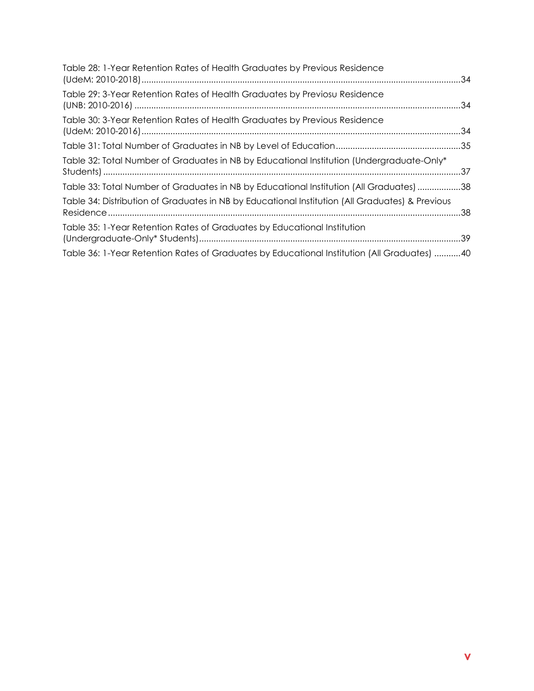| Table 28: 1-Year Retention Rates of Health Graduates by Previous Residence                      |  |
|-------------------------------------------------------------------------------------------------|--|
| Table 29: 3-Year Retention Rates of Health Graduates by Previosu Residence                      |  |
| Table 30: 3-Year Retention Rates of Health Graduates by Previous Residence                      |  |
|                                                                                                 |  |
| Table 32: Total Number of Graduates in NB by Educational Institution (Undergraduate-Only*       |  |
| Table 33: Total Number of Graduates in NB by Educational Institution (All Graduates) 38         |  |
| Table 34: Distribution of Graduates in NB by Educational Institution (All Graduates) & Previous |  |
| Table 35: 1-Year Retention Rates of Graduates by Educational Institution                        |  |
| Table 36: 1-Year Retention Rates of Graduates by Educational Institution (All Graduates) 40     |  |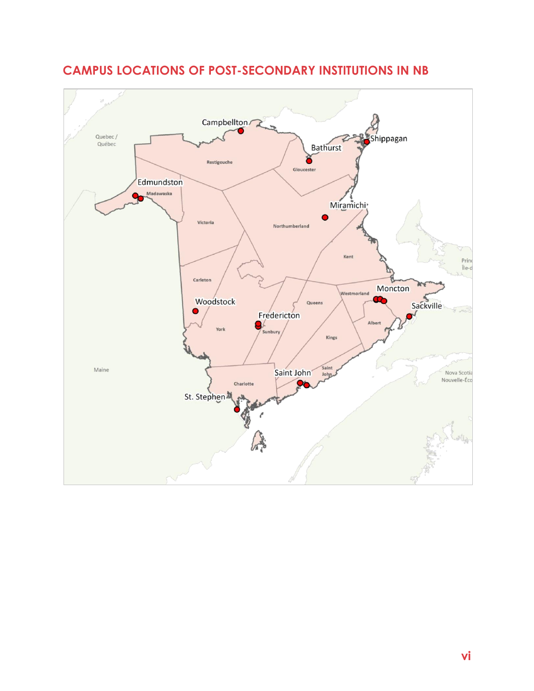

# <span id="page-5-0"></span>**CAMPUS LOCATIONS OF POST-SECONDARY INSTITUTIONS IN NB**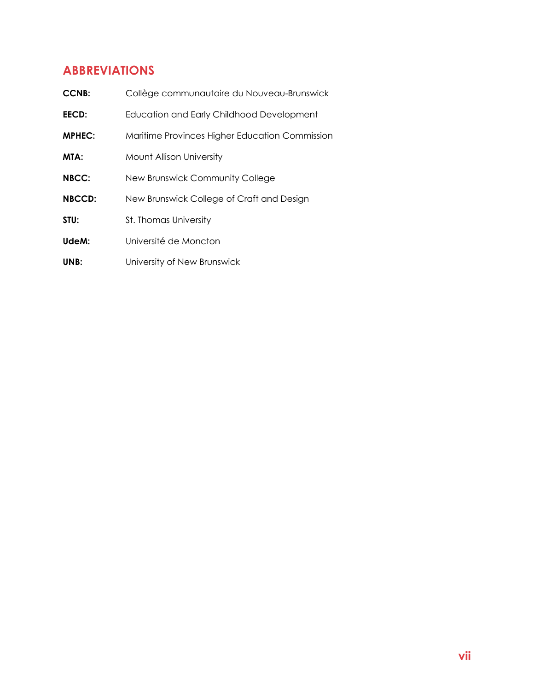# <span id="page-6-0"></span>**ABBREVIATIONS**

| <b>CCNB:</b>  | Collège communautaire du Nouveau-Brunswick       |
|---------------|--------------------------------------------------|
| <b>EECD:</b>  | <b>Education and Early Childhood Development</b> |
| <b>MPHEC:</b> | Maritime Provinces Higher Education Commission   |
| MTA:          | Mount Allison University                         |
| <b>NBCC:</b>  | New Brunswick Community College                  |
| <b>NBCCD:</b> | New Brunswick College of Craft and Design        |
| STU:          | <b>St. Thomas University</b>                     |
| UdeM:         | Université de Moncton                            |
| UNB:          | University of New Brunswick                      |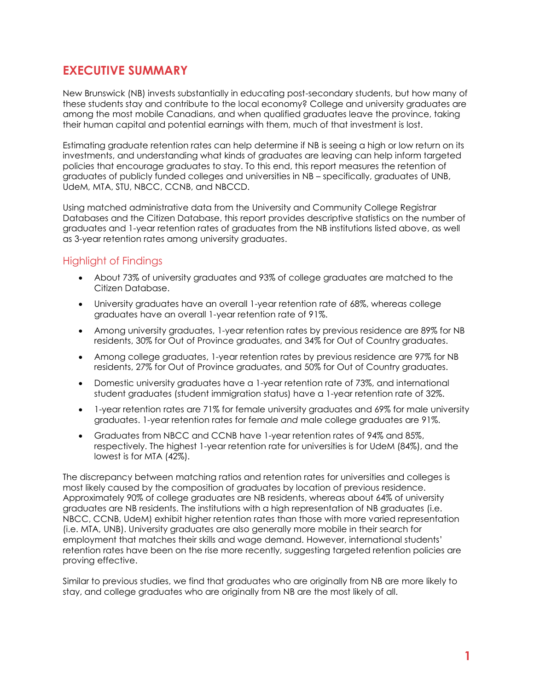# <span id="page-7-0"></span>**EXECUTIVE SUMMARY**

New Brunswick (NB) invests substantially in educating post-secondary students, but how many of these students stay and contribute to the local economy? College and university graduates are among the most mobile Canadians, and when qualified graduates leave the province, taking their human capital and potential earnings with them, much of that investment is lost.

Estimating graduate retention rates can help determine if NB is seeing a high or low return on its investments, and understanding what kinds of graduates are leaving can help inform targeted policies that encourage graduates to stay. To this end, this report measures the retention of graduates of publicly funded colleges and universities in NB – specifically, graduates of UNB, UdeM, MTA, STU, NBCC, CCNB, and NBCCD.

Using matched administrative data from the University and Community College Registrar Databases and the Citizen Database, this report provides descriptive statistics on the number of graduates and 1-year retention rates of graduates from the NB institutions listed above, as well as 3-year retention rates among university graduates.

### <span id="page-7-1"></span>Highlight of Findings

- About 73% of university graduates and 93% of college graduates are matched to the Citizen Database.
- University araduates have an overall 1-year retention rate of 68%, whereas college graduates have an overall 1-year retention rate of 91%.
- Among university graduates, 1-year retention rates by previous residence are 89% for NB residents, 30% for Out of Province graduates, and 34% for Out of Country graduates.
- Among college graduates, 1-year retention rates by previous residence are 97% for NB residents, 27% for Out of Province graduates, and 50% for Out of Country graduates.
- Domestic university graduates have a 1-year retention rate of 73%, and international student graduates (student immigration status) have a 1-year retention rate of 32%.
- 1-year retention rates are 71% for female university graduates and 69% for male university graduates. 1-year retention rates for female *and* male college graduates are 91%.
- Graduates from NBCC and CCNB have 1-year retention rates of 94% and 85%, respectively. The highest 1-year retention rate for universities is for UdeM (84%), and the lowest is for MTA (42%).

The discrepancy between matching ratios and retention rates for universities and colleges is most likely caused by the composition of graduates by location of previous residence. Approximately 90% of college graduates are NB residents, whereas about 64% of university graduates are NB residents. The institutions with a high representation of NB graduates (i.e. NBCC, CCNB, UdeM) exhibit higher retention rates than those with more varied representation (i.e. MTA, UNB). University graduates are also generally more mobile in their search for employment that matches their skills and wage demand. However, international students' retention rates have been on the rise more recently, suggesting targeted retention policies are proving effective.

Similar to previous studies, we find that graduates who are originally from NB are more likely to stay, and college graduates who are originally from NB are the most likely of all.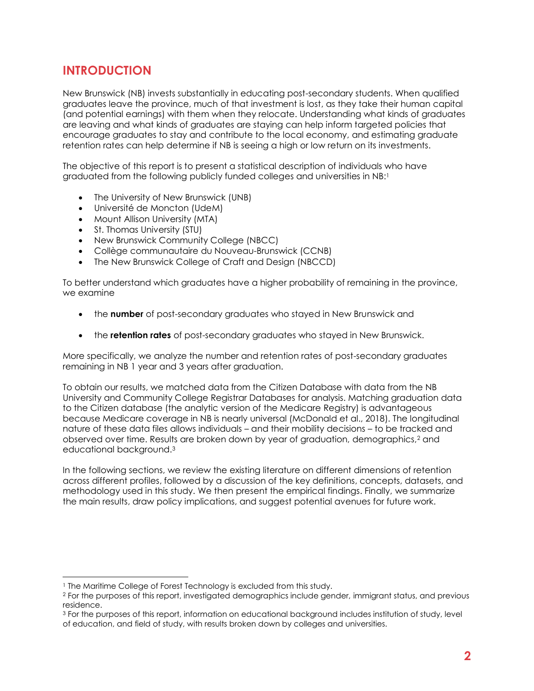# <span id="page-8-0"></span>**INTRODUCTION**

New Brunswick (NB) invests substantially in educating post-secondary students. When qualified graduates leave the province, much of that investment is lost, as they take their human capital (and potential earnings) with them when they relocate. Understanding what kinds of graduates are leaving and what kinds of graduates are staying can help inform targeted policies that encourage graduates to stay and contribute to the local economy, and estimating graduate retention rates can help determine if NB is seeing a high or low return on its investments.

The objective of this report is to present a statistical description of individuals who have graduated from the following publicly funded colleges and universities in NB: 1

- The University of New Brunswick (UNB)
- Université de Moncton (UdeM)
- Mount Allison University (MTA)
- St. Thomas University (STU)
- New Brunswick Community College (NBCC)
- Collège communautaire du Nouveau-Brunswick (CCNB)
- The New Brunswick College of Craft and Design (NBCCD)

To better understand which graduates have a higher probability of remaining in the province, we examine

- the **number** of post-secondary graduates who stayed in New Brunswick and
- the **retention rates** of post-secondary graduates who stayed in New Brunswick.

More specifically, we analyze the number and retention rates of post-secondary graduates remaining in NB 1 year and 3 years after graduation.

To obtain our results, we matched data from the Citizen Database with data from the NB University and Community College Registrar Databases for analysis. Matching graduation data to the Citizen database (the analytic version of the Medicare Registry) is advantageous because Medicare coverage in NB is nearly universal (McDonald et al., 2018). The longitudinal nature of these data files allows individuals – and their mobility decisions – to be tracked and observed over time. Results are broken down by year of graduation, demographics,<sup>2</sup> and educational background. 3

In the following sections, we review the existing literature on different dimensions of retention across different profiles, followed by a discussion of the key definitions, concepts, datasets, and methodology used in this study. We then present the empirical findings. Finally, we summarize the main results, draw policy implications, and suggest potential avenues for future work.

<sup>&</sup>lt;sup>1</sup> The Maritime College of Forest Technology is excluded from this study.

<sup>2</sup> For the purposes of this report, investigated demographics include gender, immigrant status, and previous residence.

<sup>3</sup> For the purposes of this report, information on educational background includes institution of study, level of education, and field of study, with results broken down by colleges and universities.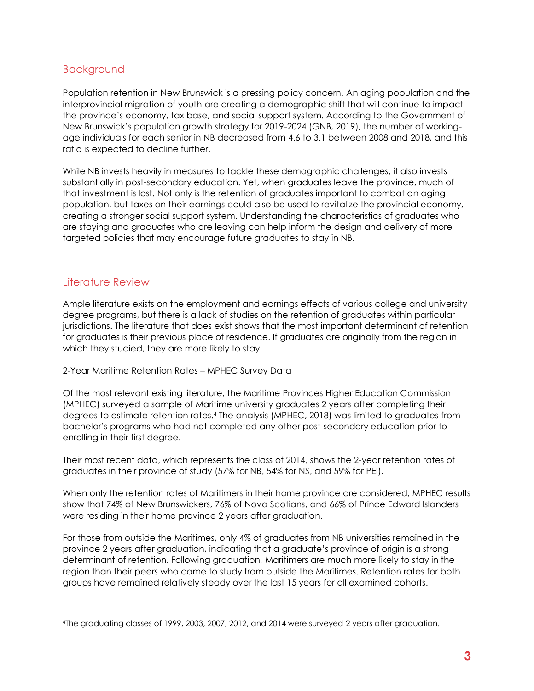### <span id="page-9-0"></span>Background

Population retention in New Brunswick is a pressing policy concern. An aging population and the interprovincial migration of youth are creating a demographic shift that will continue to impact the province's economy, tax base, and social support system. According to the Government of New Brunswick's population growth strategy for 2019-2024 (GNB, 2019), the number of workingage individuals for each senior in NB decreased from 4.6 to 3.1 between 2008 and 2018, and this ratio is expected to decline further.

While NB invests heavily in measures to tackle these demographic challenges, it also invests substantially in post-secondary education. Yet, when graduates leave the province, much of that investment is lost. Not only is the retention of graduates important to combat an aging population, but taxes on their earnings could also be used to revitalize the provincial economy, creating a stronger social support system. Understanding the characteristics of graduates who are staying and graduates who are leaving can help inform the design and delivery of more targeted policies that may encourage future graduates to stay in NB.

# <span id="page-9-1"></span>Literature Review

Ample literature exists on the employment and earnings effects of various college and university degree programs, but there is a lack of studies on the retention of graduates within particular jurisdictions. The literature that does exist shows that the most important determinant of retention for graduates is their previous place of residence. If graduates are originally from the region in which they studied, they are more likely to stay.

#### 2-Year Maritime Retention Rates – MPHEC Survey Data

Of the most relevant existing literature, the Maritime Provinces Higher Education Commission (MPHEC) surveyed a sample of Maritime university graduates 2 years after completing their degrees to estimate retention rates. <sup>4</sup> The analysis (MPHEC, 2018) was limited to graduates from bachelor's programs who had not completed any other post-secondary education prior to enrolling in their first degree.

Their most recent data, which represents the class of 2014, shows the 2-year retention rates of graduates in their province of study (57% for NB, 54% for NS, and 59% for PEI).

When only the retention rates of Maritimers in their home province are considered, MPHEC results show that 74% of New Brunswickers, 76% of Nova Scotians, and 66% of Prince Edward Islanders were residing in their home province 2 years after graduation.

For those from outside the Maritimes, only 4% of graduates from NB universities remained in the province 2 years after graduation, indicating that a graduate's province of origin is a strong determinant of retention. Following graduation, Maritimers are much more likely to stay in the region than their peers who came to study from outside the Maritimes. Retention rates for both groups have remained relatively steady over the last 15 years for all examined cohorts.

<sup>4</sup>The graduating classes of 1999, 2003, 2007, 2012, and 2014 were surveyed 2 years after graduation.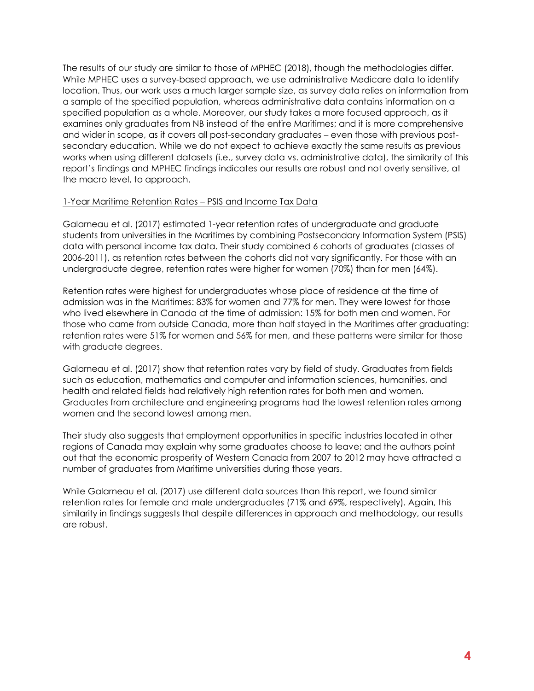The results of our study are similar to those of MPHEC (2018), though the methodologies differ. While MPHEC uses a survey-based approach, we use administrative Medicare data to identify location. Thus, our work uses a much larger sample size, as survey data relies on information from a sample of the specified population, whereas administrative data contains information on a specified population as a whole. Moreover, our study takes a more focused approach, as it examines only graduates from NB instead of the entire Maritimes; and it is more comprehensive and wider in scope, as it covers all post-secondary graduates – even those with previous postsecondary education. While we do not expect to achieve exactly the same results as previous works when using different datasets (i.e., survey data vs. administrative data), the similarity of this report's findings and MPHEC findings indicates our results are robust and not overly sensitive, at the macro level, to approach.

#### 1-Year Maritime Retention Rates – PSIS and Income Tax Data

Galarneau et al. (2017) estimated 1-year retention rates of undergraduate and graduate students from universities in the Maritimes by combining Postsecondary Information System (PSIS) data with personal income tax data. Their study combined 6 cohorts of graduates (classes of 2006-2011), as retention rates between the cohorts did not vary significantly. For those with an undergraduate degree, retention rates were higher for women (70%) than for men (64%).

Retention rates were highest for undergraduates whose place of residence at the time of admission was in the Maritimes: 83% for women and 77% for men. They were lowest for those who lived elsewhere in Canada at the time of admission: 15% for both men and women. For those who came from outside Canada, more than half stayed in the Maritimes after graduating: retention rates were 51% for women and 56% for men, and these patterns were similar for those with graduate degrees.

Galarneau et al. (2017) show that retention rates vary by field of study. Graduates from fields such as education, mathematics and computer and information sciences, humanities, and health and related fields had relatively high retention rates for both men and women. Graduates from architecture and engineering programs had the lowest retention rates among women and the second lowest among men.

Their study also suggests that employment opportunities in specific industries located in other regions of Canada may explain why some graduates choose to leave; and the authors point out that the economic prosperity of Western Canada from 2007 to 2012 may have attracted a number of graduates from Maritime universities during those years.

While Galarneau et al. (2017) use different data sources than this report, we found similar retention rates for female and male undergraduates (71% and 69%, respectively). Again, this similarity in findings suggests that despite differences in approach and methodology, our results are robust.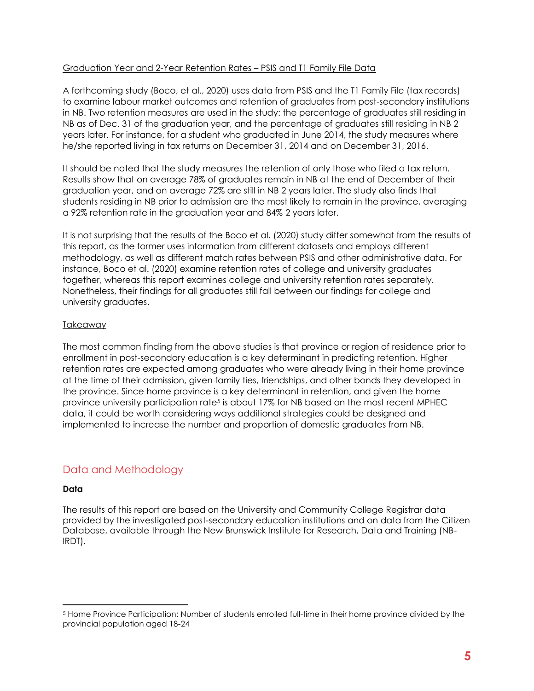#### Graduation Year and 2-Year Retention Rates – PSIS and T1 Family File Data

A forthcoming study (Boco, et al., 2020) uses data from PSIS and the T1 Family File (tax records) to examine labour market outcomes and retention of graduates from post-secondary institutions in NB. Two retention measures are used in the study: the percentage of graduates still residing in NB as of Dec. 31 of the graduation year, and the percentage of graduates still residing in NB 2 years later. For instance, for a student who graduated in June 2014, the study measures where he/she reported living in tax returns on December 31, 2014 and on December 31, 2016.

It should be noted that the study measures the retention of only those who filed a tax return. Results show that on average 78% of graduates remain in NB at the end of December of their graduation year, and on average 72% are still in NB 2 years later. The study also finds that students residing in NB prior to admission are the most likely to remain in the province, averaging a 92% retention rate in the graduation year and 84% 2 years later.

It is not surprising that the results of the Boco et al. (2020) study differ somewhat from the results of this report, as the former uses information from different datasets and employs different methodology, as well as different match rates between PSIS and other administrative data. For instance, Boco et al. (2020) examine retention rates of college and university graduates together, whereas this report examines college and university retention rates separately. Nonetheless, their findings for all graduates still fall between our findings for college and university graduates.

#### Takeaway

The most common finding from the above studies is that province or region of residence prior to enrollment in post-secondary education is a key determinant in predicting retention. Higher retention rates are expected among graduates who were already living in their home province at the time of their admission, given family ties, friendships, and other bonds they developed in the province. Since home province is a key determinant in retention, and given the home province university participation rate<sup>5</sup> is about 17% for NB based on the most recent MPHEC data, it could be worth considering ways additional strategies could be designed and implemented to increase the number and proportion of domestic graduates from NB.

# <span id="page-11-0"></span>Data and Methodology

#### **Data**

The results of this report are based on the University and Community College Registrar data provided by the investigated post-secondary education institutions and on data from the Citizen Database, available through the New Brunswick Institute for Research, Data and Training (NB-IRDT).

<sup>5</sup> Home Province Participation: Number of students enrolled full-time in their home province divided by the provincial population aged 18-24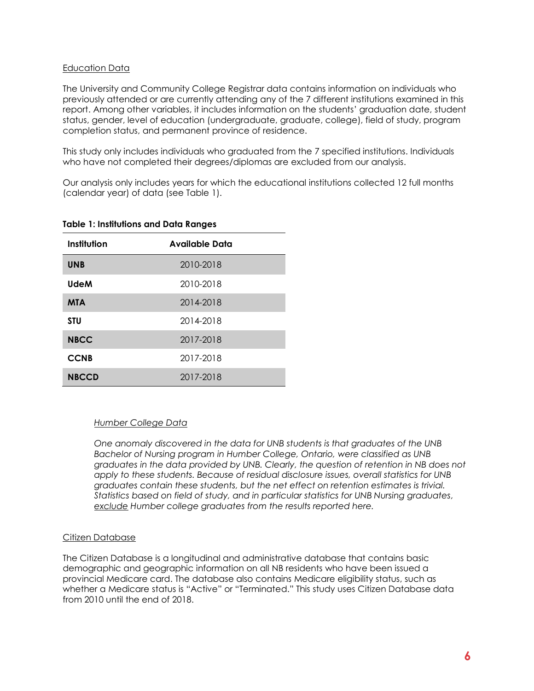#### Education Data

The University and Community College Registrar data contains information on individuals who previously attended or are currently attending any of the 7 different institutions examined in this report. Among other variables, it includes information on the students' graduation date, student status, gender, level of education (undergraduate, graduate, college), field of study, program completion status, and permanent province of residence.

This study only includes individuals who graduated from the 7 specified institutions. Individuals who have not completed their degrees/diplomas are excluded from our analysis.

Our analysis only includes years for which the educational institutions collected 12 full months (calendar year) of data (see Table 1).

| Institution  | <b>Available Data</b> |
|--------------|-----------------------|
| <b>UNB</b>   | 2010-2018             |
| <b>UdeM</b>  | 2010-2018             |
| <b>MTA</b>   | 2014-2018             |
| <b>STU</b>   | 2014-2018             |
| <b>NBCC</b>  | 2017-2018             |
| <b>CCNB</b>  | 2017-2018             |
| <b>NBCCD</b> | 2017-2018             |

#### <span id="page-12-0"></span>**Table 1: Institutions and Data Ranges**

#### *Humber College Data*

*One anomaly discovered in the data for UNB students is that graduates of the UNB Bachelor of Nursing program in Humber College, Ontario, were classified as UNB graduates in the data provided by UNB. Clearly, the question of retention in NB does not apply to these students. Because of residual disclosure issues, overall statistics for UNB graduates contain these students, but the net effect on retention estimates is trivial. Statistics based on field of study, and in particular statistics for UNB Nursing graduates, exclude Humber college graduates from the results reported here.* 

#### Citizen Database

The Citizen Database is a longitudinal and administrative database that contains basic demographic and geographic information on all NB residents who have been issued a provincial Medicare card. The database also contains Medicare eligibility status, such as whether a Medicare status is "Active" or "Terminated." This study uses Citizen Database data from 2010 until the end of 2018.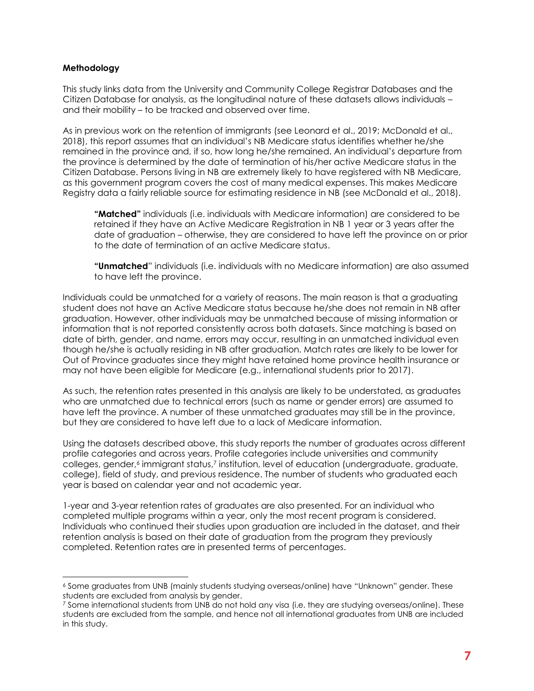#### **Methodology**

This study links data from the University and Community College Registrar Databases and the Citizen Database for analysis, as the longitudinal nature of these datasets allows individuals – and their mobility – to be tracked and observed over time.

As in previous work on the retention of immigrants (see Leonard et al., 2019; McDonald et al., 2018), this report assumes that an individual's NB Medicare status identifies whether he/she remained in the province and, if so, how long he/she remained. An individual's departure from the province is determined by the date of termination of his/her active Medicare status in the Citizen Database. Persons living in NB are extremely likely to have registered with NB Medicare, as this government program covers the cost of many medical expenses. This makes Medicare Registry data a fairly reliable source for estimating residence in NB (see McDonald et al., 2018).

**"Matched"** individuals (i.e. individuals with Medicare information) are considered to be retained if they have an Active Medicare Registration in NB 1 year or 3 years after the date of graduation – otherwise, they are considered to have left the province on or prior to the date of termination of an active Medicare status.

**"Unmatched**" individuals (i.e. individuals with no Medicare information) are also assumed to have left the province.

Individuals could be unmatched for a variety of reasons. The main reason is that a graduating student does not have an Active Medicare status because he/she does not remain in NB after graduation. However, other individuals may be unmatched because of missing information or information that is not reported consistently across both datasets. Since matching is based on date of birth, gender, and name, errors may occur, resulting in an unmatched individual even though he/she is actually residing in NB after graduation. Match rates are likely to be lower for Out of Province graduates since they might have retained home province health insurance or may not have been eligible for Medicare (e.g., international students prior to 2017).

As such, the retention rates presented in this analysis are likely to be understated, as graduates who are unmatched due to technical errors (such as name or gender errors) are assumed to have left the province. A number of these unmatched graduates may still be in the province, but they are considered to have left due to a lack of Medicare information.

Using the datasets described above, this study reports the number of graduates across different profile categories and across years. Profile categories include universities and community colleges, gender, <sup>6</sup> immigrant status, <sup>7</sup> institution, level of education (undergraduate, graduate, college), field of study, and previous residence. The number of students who graduated each year is based on calendar year and not academic year.

1-year and 3-year retention rates of graduates are also presented. For an individual who completed multiple programs within a year, only the most recent program is considered. Individuals who continued their studies upon graduation are included in the dataset, and their retention analysis is based on their date of graduation from the program they previously completed. Retention rates are in presented terms of percentages.

<sup>6</sup> Some graduates from UNB (mainly students studying overseas/online) have "Unknown" gender. These students are excluded from analysis by gender.

<sup>7</sup> Some international students from UNB do not hold any visa (i.e. they are studying overseas/online). These students are excluded from the sample, and hence not all international graduates from UNB are included in this study.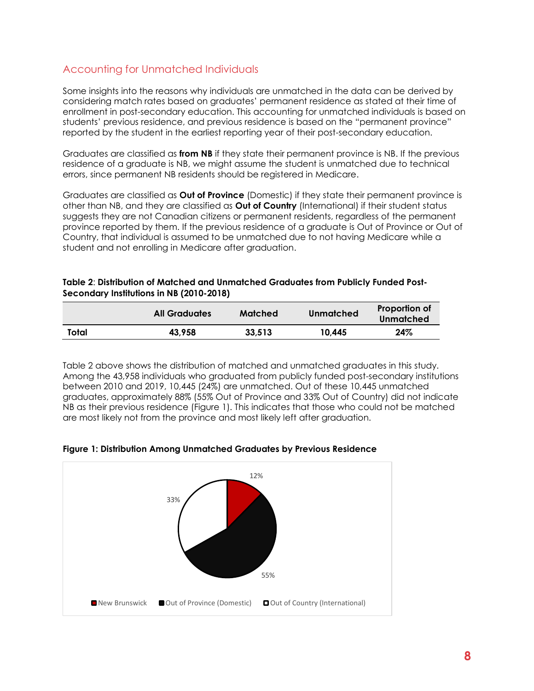# Accounting for Unmatched Individuals

Some insights into the reasons why individuals are unmatched in the data can be derived by considering match rates based on graduates' permanent residence as stated at their time of enrollment in post-secondary education. This accounting for unmatched individuals is based on students' previous residence, and previous residence is based on the "permanent province" reported by the student in the earliest reporting year of their post-secondary education.

Graduates are classified as **from NB** if they state their permanent province is NB. If the previous residence of a graduate is NB, we might assume the student is unmatched due to technical errors, since permanent NB residents should be registered in Medicare.

Graduates are classified as **Out of Province** (Domestic) if they state their permanent province is other than NB, and they are classified as **Out of Country** (International) if their student status suggests they are not Canadian citizens or permanent residents, regardless of the permanent province reported by them. If the previous residence of a graduate is Out of Province or Out of Country, that individual is assumed to be unmatched due to not having Medicare while a student and not enrolling in Medicare after graduation.

#### <span id="page-14-1"></span>**Table 2**: **Distribution of Matched and Unmatched Graduates from Publicly Funded Post-Secondary Institutions in NB (2010-2018)**

|       | <b>All Graduates</b> | Matched | Unmatched | Proportion of<br>Unmatched |
|-------|----------------------|---------|-----------|----------------------------|
| Total | 43.958               | 33,513  | 10,445    | 24%                        |

Table 2 above shows the distribution of matched and unmatched graduates in this study. Among the 43,958 individuals who graduated from publicly funded post-secondary institutions between 2010 and 2019, 10,445 (24%) are unmatched. Out of these 10,445 unmatched graduates, approximately 88% (55% Out of Province and 33% Out of Country) did not indicate NB as their previous residence (Figure 1). This indicates that those who could not be matched are most likely not from the province and most likely left after graduation.



#### <span id="page-14-0"></span>**Figure 1: Distribution Among Unmatched Graduates by Previous Residence**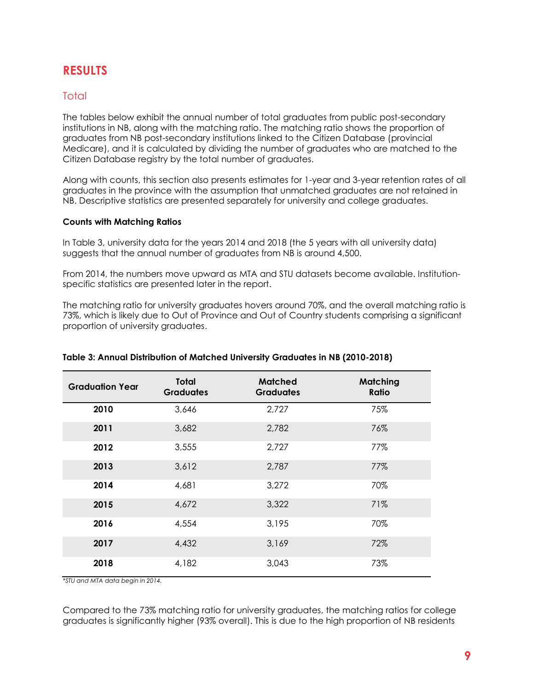# <span id="page-15-0"></span>**RESULTS**

### <span id="page-15-1"></span>**Total**

The tables below exhibit the annual number of total graduates from public post-secondary institutions in NB, along with the matching ratio. The matching ratio shows the proportion of graduates from NB post-secondary institutions linked to the Citizen Database (provincial Medicare), and it is calculated by dividing the number of graduates who are matched to the Citizen Database registry by the total number of graduates.

Along with counts, this section also presents estimates for 1-year and 3-year retention rates of all graduates in the province with the assumption that unmatched graduates are not retained in NB. Descriptive statistics are presented separately for university and college graduates.

#### **Counts with Matching Ratios**

In Table 3, university data for the years 2014 and 2018 (the 5 years with all university data) suggests that the annual number of graduates from NB is around 4,500.

From 2014, the numbers move upward as MTA and STU datasets become available. Institutionspecific statistics are presented later in the report.

The matching ratio for university graduates hovers around 70%, and the overall matching ratio is 73%, which is likely due to Out of Province and Out of Country students comprising a significant proportion of university graduates.

| <b>Graduation Year</b> | Total<br><b>Graduates</b> | <b>Matched</b><br><b>Graduates</b> | <b>Matching</b><br>Ratio |
|------------------------|---------------------------|------------------------------------|--------------------------|
| 2010                   | 3,646                     | 2,727                              | 75%                      |
| 2011                   | 3,682                     | 2,782                              | 76%                      |
| 2012                   | 3,555                     | 2,727                              | 77%                      |
| 2013                   | 3,612                     | 2,787                              | 77%                      |
| 2014                   | 4,681                     | 3,272                              | 70%                      |
| 2015                   | 4,672                     | 3,322                              | 71%                      |
| 2016                   | 4,554                     | 3,195                              | 70%                      |
| 2017                   | 4,432                     | 3,169                              | 72%                      |
| 2018                   | 4,182                     | 3,043                              | 73%                      |

#### <span id="page-15-2"></span>**Table 3: Annual Distribution of Matched University Graduates in NB (2010-2018)**

*\*STU and MTA data begin in 2014.* 

Compared to the 73% matching ratio for university graduates, the matching ratios for college graduates is significantly higher (93% overall). This is due to the high proportion of NB residents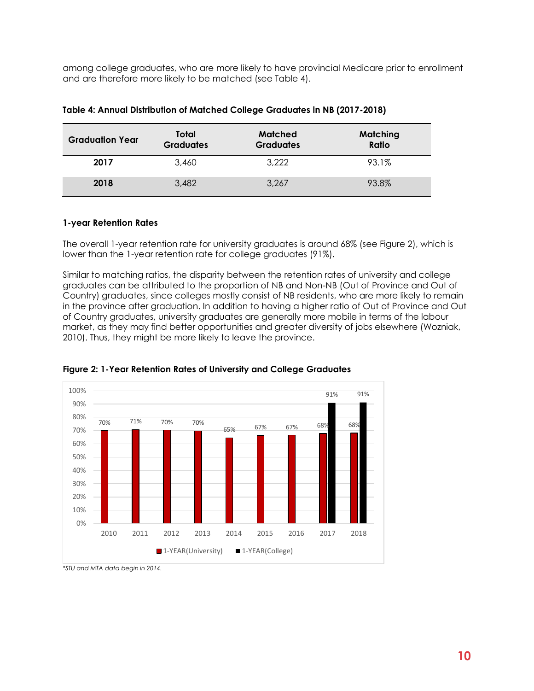among college graduates, who are more likely to have provincial Medicare prior to enrollment and are therefore more likely to be matched (see Table 4).

| <b>Graduation Year</b> | Total<br><b>Graduates</b> | Matched<br><b>Graduates</b> | Matching<br>Ratio |
|------------------------|---------------------------|-----------------------------|-------------------|
| 2017                   | 3.460                     | 3,222                       | 93.1%             |
| 2018                   | 3,482                     | 3.267                       | 93.8%             |

#### <span id="page-16-1"></span>**Table 4: Annual Distribution of Matched College Graduates in NB (2017-2018)**

#### **1-year Retention Rates**

The overall 1-year retention rate for university graduates is around 68% (see Figure 2), which is lower than the 1-year retention rate for college graduates (91%).

Similar to matching ratios, the disparity between the retention rates of university and college graduates can be attributed to the proportion of NB and Non-NB (Out of Province and Out of Country) graduates, since colleges mostly consist of NB residents, who are more likely to remain in the province after graduation. In addition to having a higher ratio of Out of Province and Out of Country graduates, university graduates are generally more mobile in terms of the labour market, as they may find better opportunities and greater diversity of jobs elsewhere (Wozniak, 2010). Thus, they might be more likely to leave the province.



<span id="page-16-0"></span>**Figure 2: 1-Year Retention Rates of University and College Graduates**

*<sup>\*</sup>STU and MTA data begin in 2014.*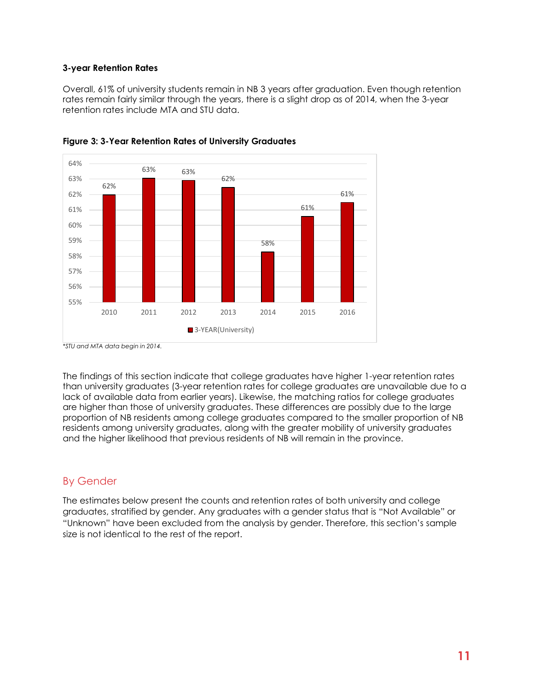#### **3-year Retention Rates**

Overall, 61% of university students remain in NB 3 years after graduation. Even though retention rates remain fairly similar through the years, there is a slight drop as of 2014, when the 3-year retention rates include MTA and STU data.



<span id="page-17-1"></span>

The findings of this section indicate that college graduates have higher 1-year retention rates than university graduates (3-year retention rates for college graduates are unavailable due to a lack of available data from earlier years). Likewise, the matching ratios for college graduates are higher than those of university graduates. These differences are possibly due to the large proportion of NB residents among college graduates compared to the smaller proportion of NB residents among university graduates, along with the greater mobility of university graduates and the higher likelihood that previous residents of NB will remain in the province.

# <span id="page-17-0"></span>By Gender

The estimates below present the counts and retention rates of both university and college graduates, stratified by gender. Any graduates with a gender status that is "Not Available" or "Unknown" have been excluded from the analysis by gender. Therefore, this section's sample size is not identical to the rest of the report.

*<sup>\*</sup>STU and MTA data begin in 2014.*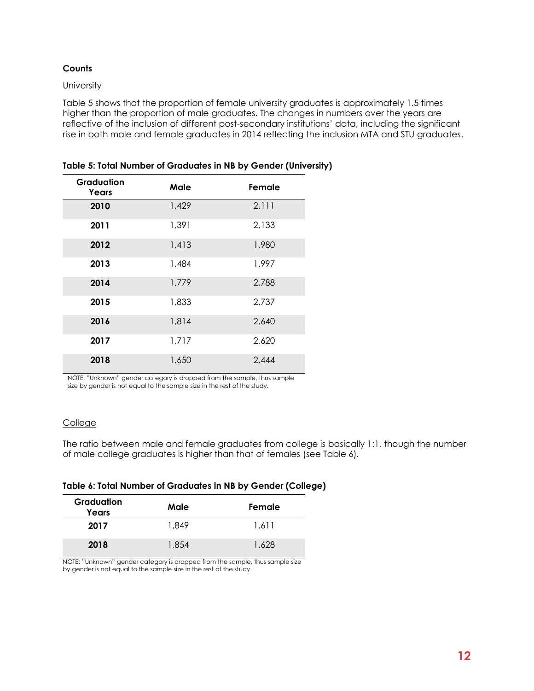#### **Counts**

#### **University**

Table 5 shows that the proportion of female university graduates is approximately 1.5 times higher than the proportion of male graduates. The changes in numbers over the years are reflective of the inclusion of different post-secondary institutions' data, including the significant rise in both male and female graduates in 2014 reflecting the inclusion MTA and STU graduates.

| Graduation<br>Years | Male  | Female |
|---------------------|-------|--------|
| 2010                | 1,429 | 2,111  |
| 2011                | 1,391 | 2,133  |
| 2012                | 1,413 | 1,980  |
| 2013                | 1,484 | 1,997  |
| 2014                | 1,779 | 2,788  |
| 2015                | 1,833 | 2,737  |
| 2016                | 1,814 | 2,640  |
| 2017                | 1,717 | 2,620  |
| 2018                | 1,650 | 2,444  |

<span id="page-18-0"></span>**Table 5: Total Number of Graduates in NB by Gender (University)**

NOTE: "Unknown" gender category is dropped from the sample, thus sample size by gender is not equal to the sample size in the rest of the study.

#### College

The ratio between male and female graduates from college is basically 1:1, though the number of male college graduates is higher than that of females (see Table 6).

#### <span id="page-18-1"></span>**Table 6: Total Number of Graduates in NB by Gender (College)**

| Graduation<br>Years | Male  | Female |
|---------------------|-------|--------|
| 2017                | 1.849 | 1.611  |
| 2018                | 1.854 | 1.628  |

NOTE: "Unknown" gender category is dropped from the sample, thus sample size by gender is not equal to the sample size in the rest of the study.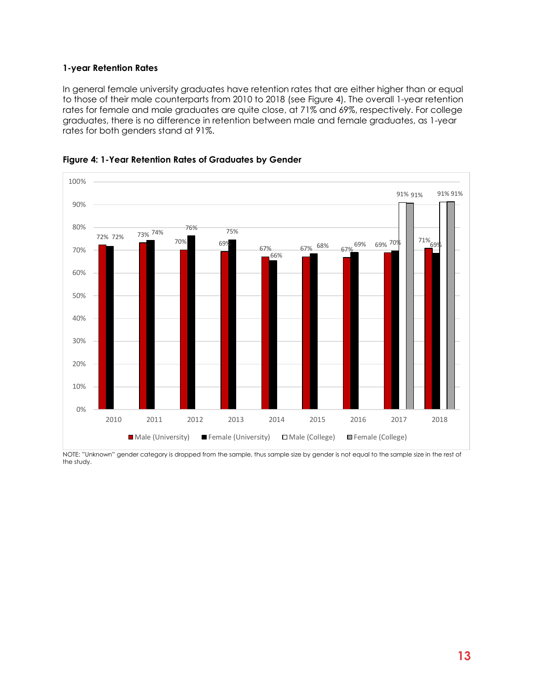#### **1-year Retention Rates**

In general female university graduates have retention rates that are either higher than or equal to those of their male counterparts from 2010 to 2018 (see Figure 4). The overall 1-year retention rates for female and male graduates are quite close, at 71% and 69%, respectively. For college graduates, there is no difference in retention between male and female graduates, as 1-year rates for both genders stand at 91%.



<span id="page-19-0"></span>

NOTE: "Unknown" gender category is dropped from the sample, thus sample size by gender is not equal to the sample size in the rest of the study.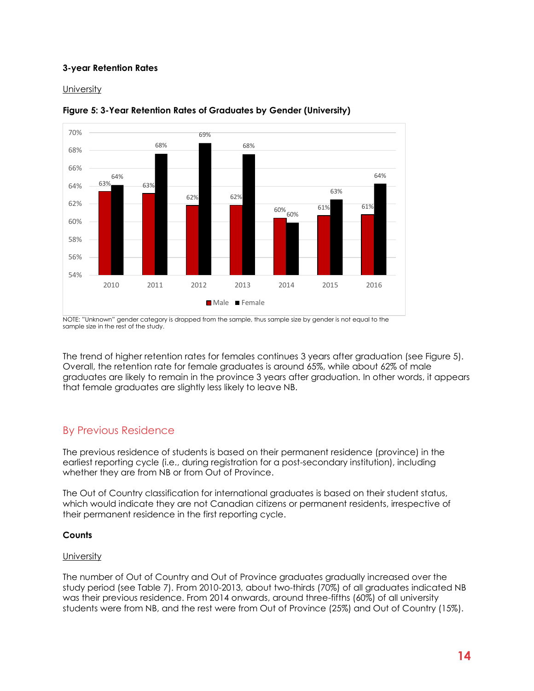#### **3-year Retention Rates**

**University** 



#### <span id="page-20-1"></span>**Figure 5: 3-Year Retention Rates of Graduates by Gender (University)**

NOTE: "Unknown" gender category is dropped from the sample, thus sample size by gender is not equal to the sample size in the rest of the study.

The trend of higher retention rates for females continues 3 years after graduation (see Figure 5). Overall, the retention rate for female graduates is around 65%, while about 62% of male graduates are likely to remain in the province 3 years after graduation. In other words, it appears that female graduates are slightly less likely to leave NB.

# <span id="page-20-0"></span>By Previous Residence

The previous residence of students is based on their permanent residence (province) in the earliest reporting cycle (i.e., during registration for a post-secondary institution), including whether they are from NB or from Out of Province.

The Out of Country classification for international graduates is based on their student status, which would indicate they are not Canadian citizens or permanent residents, irrespective of their permanent residence in the first reporting cycle.

#### **Counts**

#### **University**

The number of Out of Country and Out of Province graduates gradually increased over the study period (see Table 7). From 2010-2013, about two-thirds (70%) of all graduates indicated NB was their previous residence. From 2014 onwards, around three-fifths (60%) of all university students were from NB, and the rest were from Out of Province (25%) and Out of Country (15%).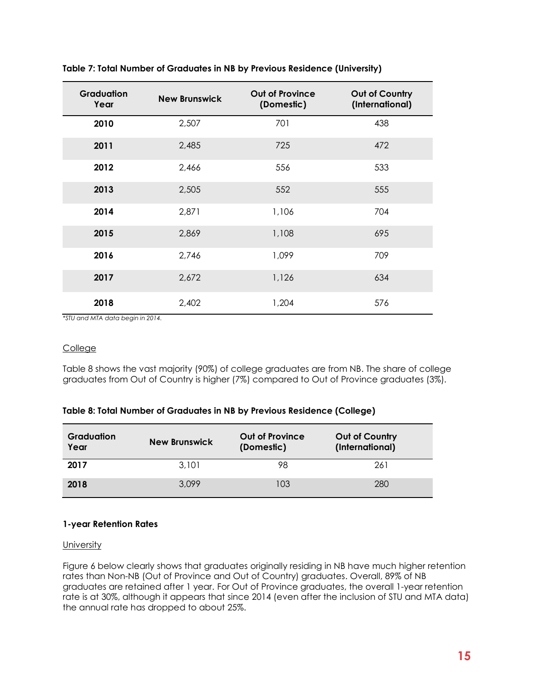| <b>Graduation</b><br>Year | <b>New Brunswick</b> | <b>Out of Province</b><br>(Domestic) | Out of Country<br>(International) |
|---------------------------|----------------------|--------------------------------------|-----------------------------------|
| 2010                      | 2,507                | 701                                  | 438                               |
| 2011                      | 2,485                | 725                                  | 472                               |
| 2012                      | 2,466                | 556                                  | 533                               |
| 2013                      | 2,505                | 552                                  | 555                               |
| 2014                      | 2,871                | 1,106                                | 704                               |
| 2015                      | 2,869                | 1,108                                | 695                               |
| 2016                      | 2,746                | 1,099                                | 709                               |
| 2017                      | 2,672                | 1,126                                | 634                               |
| 2018                      | 2,402                | 1,204                                | 576                               |

<span id="page-21-0"></span>**Table 7: Total Number of Graduates in NB by Previous Residence (University)**

*\*STU and MTA data begin in 2014.* 

#### College

Table 8 shows the vast majority (90%) of college graduates are from NB. The share of college graduates from Out of Country is higher (7%) compared to Out of Province graduates (3%).

<span id="page-21-1"></span>

| Table 8: Total Number of Graduates in NB by Previous Residence (College) |  |
|--------------------------------------------------------------------------|--|
|--------------------------------------------------------------------------|--|

| <b>Graduation</b><br>Year | <b>New Brunswick</b> | <b>Out of Province</b><br>(Domestic) | <b>Out of Country</b><br>(International) |
|---------------------------|----------------------|--------------------------------------|------------------------------------------|
| 2017                      | 3,101                | 98                                   | 261                                      |
| 2018                      | 3.099                | 103                                  | 280                                      |

#### **1-year Retention Rates**

#### University

Figure 6 below clearly shows that graduates originally residing in NB have much higher retention rates than Non-NB (Out of Province and Out of Country) graduates. Overall, 89% of NB graduates are retained after 1 year. For Out of Province graduates, the overall 1-year retention rate is at 30%, although it appears that since 2014 (even after the inclusion of STU and MTA data) the annual rate has dropped to about 25%.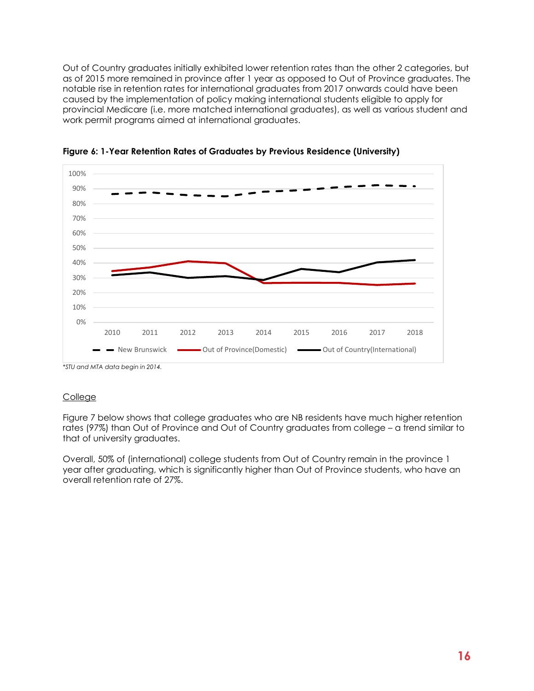Out of Country graduates initially exhibited lower retention rates than the other 2 categories, but as of 2015 more remained in province after 1 year as opposed to Out of Province graduates. The notable rise in retention rates for international graduates from 2017 onwards could have been caused by the implementation of policy making international students eligible to apply for provincial Medicare (i.e. more matched international graduates), as well as various student and work permit programs aimed at international graduates.



<span id="page-22-0"></span>**Figure 6: 1-Year Retention Rates of Graduates by Previous Residence (University)**

*\*STU and MTA data begin in 2014.* 

#### College

Figure 7 below shows that college graduates who are NB residents have much higher retention rates (97%) than Out of Province and Out of Country graduates from college – a trend similar to that of university graduates.

Overall, 50% of (international) college students from Out of Country remain in the province 1 year after graduating, which is significantly higher than Out of Province students, who have an overall retention rate of 27%.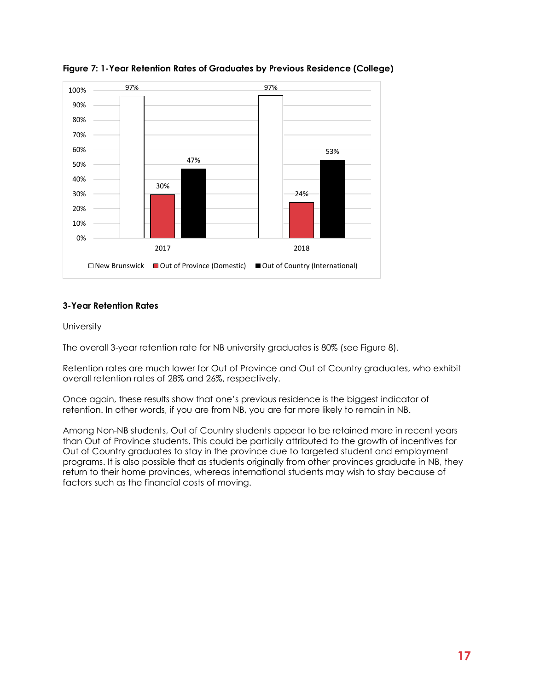

<span id="page-23-0"></span>**Figure 7: 1-Year Retention Rates of Graduates by Previous Residence (College)**

#### **3-Year Retention Rates**

#### **University**

The overall 3-year retention rate for NB university graduates is 80% (see Figure 8).

Retention rates are much lower for Out of Province and Out of Country graduates, who exhibit overall retention rates of 28% and 26%, respectively.

Once again, these results show that one's previous residence is the biggest indicator of retention. In other words, if you are from NB, you are far more likely to remain in NB.

Among Non-NB students, Out of Country students appear to be retained more in recent years than Out of Province students. This could be partially attributed to the growth of incentives for Out of Country graduates to stay in the province due to targeted student and employment programs. It is also possible that as students originally from other provinces graduate in NB, they return to their home provinces, whereas international students may wish to stay because of factors such as the financial costs of moving.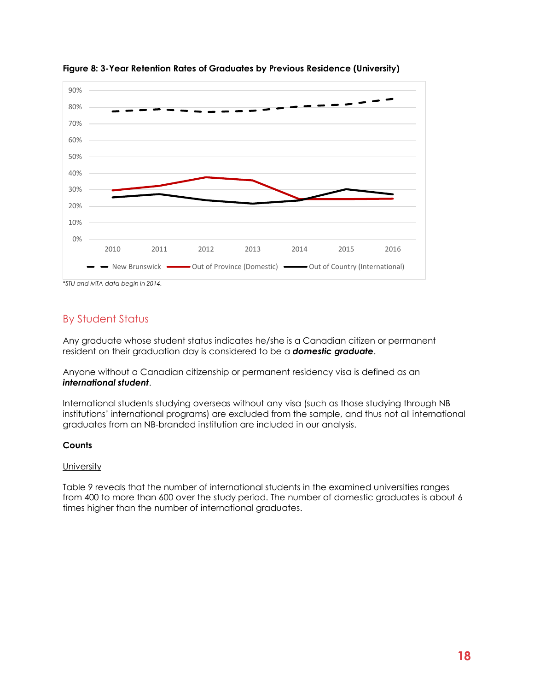

<span id="page-24-1"></span>**Figure 8: 3-Year Retention Rates of Graduates by Previous Residence (University)**

# <span id="page-24-0"></span>By Student Status

Any graduate whose student status indicates he/she is a Canadian citizen or permanent resident on their graduation day is considered to be a *domestic graduate*.

Anyone without a Canadian citizenship or permanent residency visa is defined as an *international student*.

International students studying overseas without any visa (such as those studying through NB institutions' international programs) are excluded from the sample, and thus not all international graduates from an NB-branded institution are included in our analysis.

#### **Counts**

#### **University**

Table 9 reveals that the number of international students in the examined universities ranges from 400 to more than 600 over the study period. The number of domestic graduates is about 6 times higher than the number of international graduates.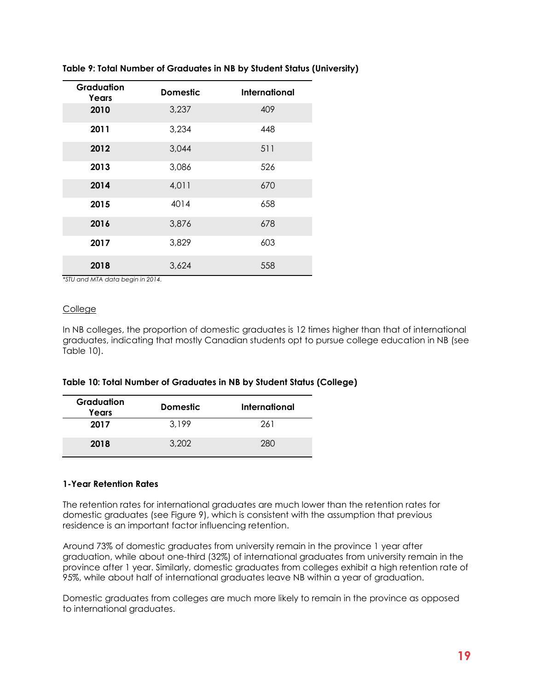| Graduation<br>Years | <b>Domestic</b> | International |
|---------------------|-----------------|---------------|
| 2010                | 3,237           | 409           |
| 2011                | 3,234           | 448           |
| 2012                | 3,044           | 511           |
| 2013                | 3,086           | 526           |
| 2014                | 4,011           | 670           |
| 2015                | 4014            | 658           |
| 2016                | 3,876           | 678           |
| 2017                | 3,829           | 603           |
| 2018                | 3,624           | 558           |

#### <span id="page-25-0"></span>**Table 9: Total Number of Graduates in NB by Student Status (University)**

*\*STU and MTA data begin in 2014.* 

#### College

In NB colleges, the proportion of domestic graduates is 12 times higher than that of international graduates, indicating that mostly Canadian students opt to pursue college education in NB (see Table 10).

#### <span id="page-25-1"></span>**Table 10: Total Number of Graduates in NB by Student Status (College)**

| Graduation<br>Years | <b>Domestic</b> | International |
|---------------------|-----------------|---------------|
| 2017                | 3.199           | 261           |
| 2018                | 3.202           | 280           |

#### **1-Year Retention Rates**

The retention rates for international graduates are much lower than the retention rates for domestic graduates (see Figure 9), which is consistent with the assumption that previous residence is an important factor influencing retention.

Around 73% of domestic graduates from university remain in the province 1 year after graduation, while about one-third (32%) of international graduates from university remain in the province after 1 year. Similarly, domestic graduates from colleges exhibit a high retention rate of 95%, while about half of international graduates leave NB within a year of graduation.

Domestic graduates from colleges are much more likely to remain in the province as opposed to international graduates.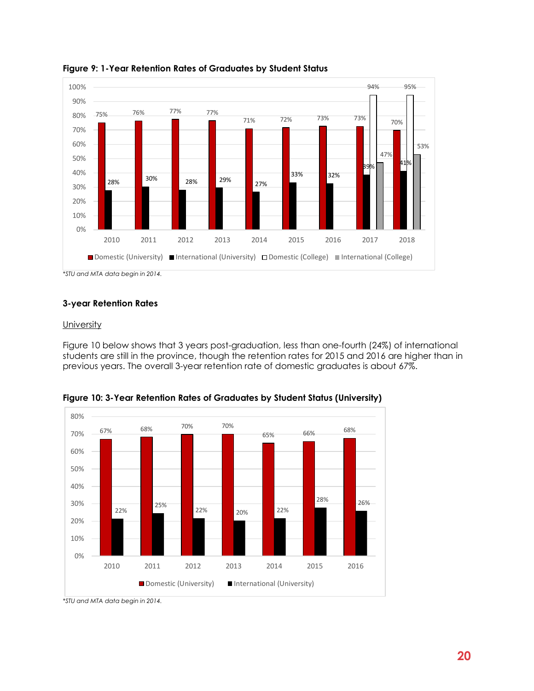

<span id="page-26-0"></span>**Figure 9: 1-Year Retention Rates of Graduates by Student Status** 

*\*STU and MTA data begin in 2014.* 

#### **3-year Retention Rates**

#### **University**

Figure 10 below shows that 3 years post-graduation, less than one-fourth (24%) of international students are still in the province, though the retention rates for 2015 and 2016 are higher than in previous years. The overall 3-year retention rate of domestic graduates is about 67%.



<span id="page-26-1"></span>**Figure 10: 3-Year Retention Rates of Graduates by Student Status (University)**

*<sup>\*</sup>STU and MTA data begin in 2014.*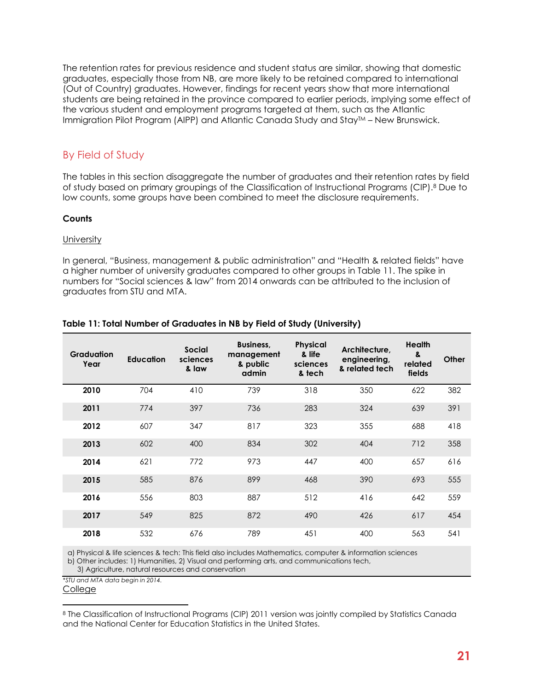The retention rates for previous residence and student status are similar, showing that domestic graduates, especially those from NB, are more likely to be retained compared to international (Out of Country) graduates. However, findings for recent years show that more international students are being retained in the province compared to earlier periods, implying some effect of the various student and employment programs targeted at them, such as the Atlantic Immigration Pilot Program (AIPP) and Atlantic Canada Study and StayTM – New Brunswick.

# <span id="page-27-0"></span>By Field of Study

The tables in this section disaggregate the number of graduates and their retention rates by field of study based on primary groupings of the Classification of Instructional Programs (CIP). <sup>8</sup> Due to low counts, some groups have been combined to meet the disclosure requirements.

#### **Counts**

#### **University**

In general, "Business, management & public administration" and "Health & related fields" have a higher number of university graduates compared to other groups in Table 11. The spike in numbers for "Social sciences & law" from 2014 onwards can be attributed to the inclusion of graduates from STU and MTA.

| <b>Graduation</b><br>Year | <b>Education</b> | <b>Social</b><br>sciences<br>& law | Business,<br>management<br>& public<br>admin | <b>Physical</b><br>& life<br>sciences<br>& tech | Architecture.<br>engineering,<br>& related tech | <b>Health</b><br>&<br>related<br>fields | Other |
|---------------------------|------------------|------------------------------------|----------------------------------------------|-------------------------------------------------|-------------------------------------------------|-----------------------------------------|-------|
| 2010                      | 704              | 410                                | 739                                          | 318                                             | 350                                             | 622                                     | 382   |
| 2011                      | 774              | 397                                | 736                                          | 283                                             | 324                                             | 639                                     | 391   |
| 2012                      | 607              | 347                                | 817                                          | 323                                             | 355                                             | 688                                     | 418   |
| 2013                      | 602              | 400                                | 834                                          | 302                                             | 404                                             | 712                                     | 358   |
| 2014                      | 621              | 772                                | 973                                          | 447                                             | 400                                             | 657                                     | 616   |
| 2015                      | 585              | 876                                | 899                                          | 468                                             | 390                                             | 693                                     | 555   |
| 2016                      | 556              | 803                                | 887                                          | 512                                             | 416                                             | 642                                     | 559   |
| 2017                      | 549              | 825                                | 872                                          | 490                                             | 426                                             | 617                                     | 454   |
| 2018                      | 532              | 676                                | 789                                          | 451                                             | 400                                             | 563                                     | 541   |

#### <span id="page-27-1"></span>**Table 11: Total Number of Graduates in NB by Field of Study (University)**

a) Physical & life sciences & tech: This field also includes Mathematics, computer & information sciences b) Other includes: 1) Humanities, 2) Visual and performing arts, and communications tech,

*\*STU and MTA data begin in 2014.* 

<sup>8</sup> The Classification of Instructional Programs (CIP) 2011 version was jointly compiled by Statistics Canada and the National Center for Education Statistics in the United States.

 <sup>3)</sup> Agriculture, natural resources and conservation

**College**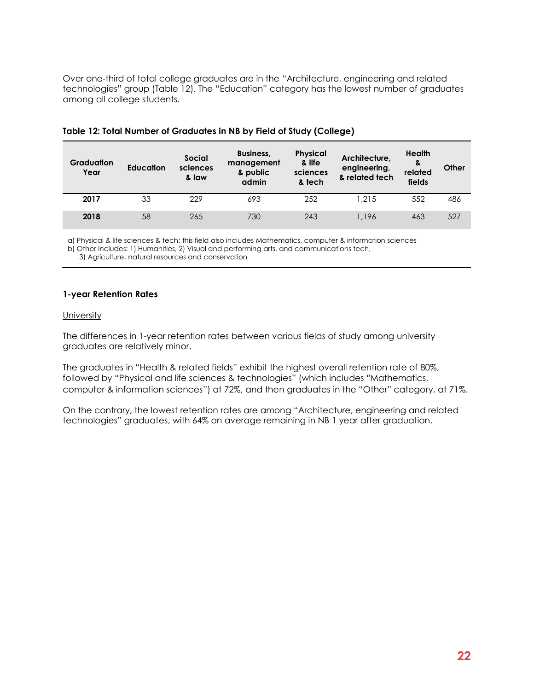Over one-third of total college graduates are in the "Architecture, engineering and related technologies" group (Table 12). The "Education" category has the lowest number of graduates among all college students.

| <b>Graduation</b><br>Year | <b>Education</b> | <b>Social</b><br>sciences<br>& law | Business,<br>management<br>& public<br>admin | <b>Physical</b><br>& life<br>sciences<br>& tech | Architecture,<br>engineering,<br>& related tech | Health<br>୍ଥ<br>related<br>fields | Other |
|---------------------------|------------------|------------------------------------|----------------------------------------------|-------------------------------------------------|-------------------------------------------------|-----------------------------------|-------|
| 2017                      | 33               | 229                                | 693                                          | 252                                             | 1.215                                           | 552                               | 486   |
| 2018                      | 58               | 265                                | 730                                          | 243                                             | 1.196                                           | 463                               | 527   |

#### <span id="page-28-0"></span>**Table 12: Total Number of Graduates in NB by Field of Study (College)**

a) Physical & life sciences & tech: this field also includes Mathematics, computer & information sciences

b) Other includes: 1) Humanities, 2) Visual and performing arts, and communications tech,

3) Agriculture, natural resources and conservation

#### **1-year Retention Rates**

#### **University**

The differences in 1-year retention rates between various fields of study among university graduates are relatively minor.

The graduates in "Health & related fields" exhibit the highest overall retention rate of 80%, followed by "Physical and life sciences & technologies" (which includes "Mathematics, computer & information sciences") at 72%, and then graduates in the "Other" category, at 71%.

On the contrary, the lowest retention rates are among "Architecture, engineering and related technologies" graduates, with 64% on average remaining in NB 1 year after graduation.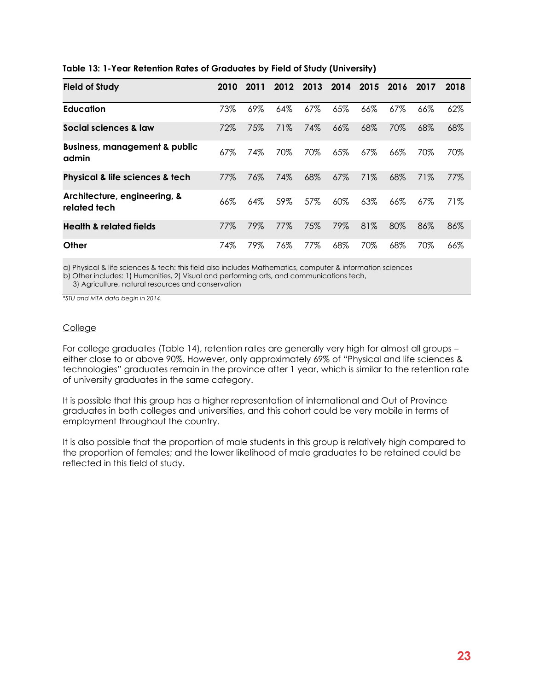| <b>Field of Study</b>                             | 2010 | 2011   | 2012 | 2013   | 2014   | 2015   | 2016   | 2017 | 2018 |
|---------------------------------------------------|------|--------|------|--------|--------|--------|--------|------|------|
| <b>Education</b>                                  | 73%  | $69\%$ | 64%  | $67\%$ | 65%    | 66%    | $67\%$ | 66%  | 62%  |
| Social sciences & law                             | 72%  | 75%    | 71%  | 74%    | 66%    | 68%    | 70%    | 68%  | 68%  |
| <b>Business, management &amp; public</b><br>admin | 67%  | 74%    | 70%  | 70%    | 65%    | $67\%$ | 66%    | 70%  | 70%  |
| Physical & life sciences & tech                   | 77%  | 76%    | 74%  | 68%    | 67%    | 71%    | 68%    | 71%  | 77%  |
| Architecture, engineering, &<br>related tech      | 66%  | 64%    | 59%  | 57%    | $60\%$ | 63%    | 66%    | 67%  | 71%  |
| <b>Health &amp; related fields</b>                | 77%  | 79%    | 77%  | 75%    | 79%    | 81%    | 80%    | 86%  | 86%  |
| Other                                             | 74%  | 79%    | 76%  | 77%    | 68%    | 70%    | 68%    | 70%  | 66%  |

#### <span id="page-29-0"></span>**Table 13: 1-Year Retention Rates of Graduates by Field of Study (University)**

a) Physical & life sciences & tech: this field also includes Mathematics, computer & information sciences

b) Other includes: 1) Humanities, 2) Visual and performing arts, and communications tech,

3) Agriculture, natural resources and conservation

*\*STU and MTA data begin in 2014.* 

#### College

For college graduates (Table 14), retention rates are generally very high for almost all groups – either close to or above 90%. However, only approximately 69% of "Physical and life sciences & technologies" graduates remain in the province after 1 year, which is similar to the retention rate of university graduates in the same category.

It is possible that this group has a higher representation of international and Out of Province graduates in both colleges and universities, and this cohort could be very mobile in terms of employment throughout the country.

<span id="page-29-1"></span>It is also possible that the proportion of male students in this group is relatively high compared to the proportion of females; and the lower likelihood of male graduates to be retained could be reflected in this field of study.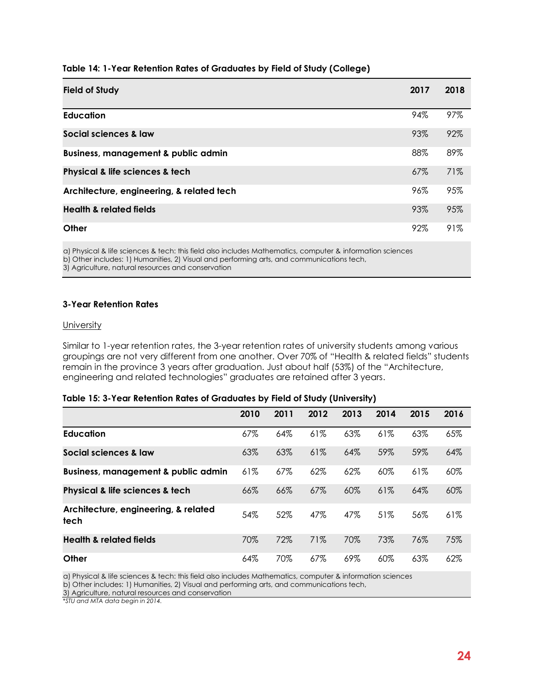| Table 14: 1-Year Retention Rates of Graduates by Field of Study (College) |  |  |
|---------------------------------------------------------------------------|--|--|

| <b>Field of Study</b>                          | 2017   | 2018 |
|------------------------------------------------|--------|------|
| <b>Education</b>                               | 94%    | 97%  |
| Social sciences & law                          | 93%    | 92%  |
| <b>Business, management &amp; public admin</b> | 88%    | 89%  |
| Physical & life sciences & tech                | $67\%$ | 71%  |
| Architecture, engineering, & related tech      | 96%    | 95%  |
| <b>Health &amp; related fields</b>             | 93%    | 95%  |
| Other                                          | 92%    | 91%  |

a) Physical & life sciences & tech: this field also includes Mathematics, computer & information sciences b) Other includes: 1) Humanities, 2) Visual and performing arts, and communications tech, 3) Agriculture, natural resources and conservation

#### **3-Year Retention Rates**

#### **University**

Similar to 1-year retention rates, the 3-year retention rates of university students among various groupings are not very different from one another. Over 70% of "Health & related fields" students remain in the province 3 years after graduation. Just about half (53%) of the "Architecture, engineering and related technologies" graduates are retained after 3 years.

#### <span id="page-30-0"></span>**Table 15: 3-Year Retention Rates of Graduates by Field of Study (University)**

|                                                | 2010 | 2011 | 2012   | 2013   | 2014   | 2015 | 2016 |
|------------------------------------------------|------|------|--------|--------|--------|------|------|
| <b>Education</b>                               | 67%  | 64%  | 61%    | 63%    | 61%    | 63%  | 65%  |
| Social sciences & law                          | 63%  | 63%  | $61\%$ | 64%    | 59%    | 59%  | 64%  |
| <b>Business, management &amp; public admin</b> | 61%  | 67%  | 62%    | 62%    | 60%    | 61%  | 60%  |
| Physical & life sciences & tech                | 66%  | 66%  | 67%    | 60%    | 61%    | 64%  | 60%  |
| Architecture, engineering, & related<br>tech   | 54%  | 52%  | 47%    | 47%    | 51%    | 56%  | 61%  |
| <b>Health &amp; related fields</b>             | 70%  | 72%  | 71%    | 70%    | 73%    | 76%  | 75%  |
| Other                                          | 64%  | 70%  | $67\%$ | $69\%$ | $60\%$ | 63%  | 62%  |

a) Physical & life sciences & tech: this field also includes Mathematics, computer & information sciences

b) Other includes: 1) Humanities, 2) Visual and performing arts, and communications tech,

3) Agriculture, natural resources and conservation

*\*STU and MTA data begin in 2014.*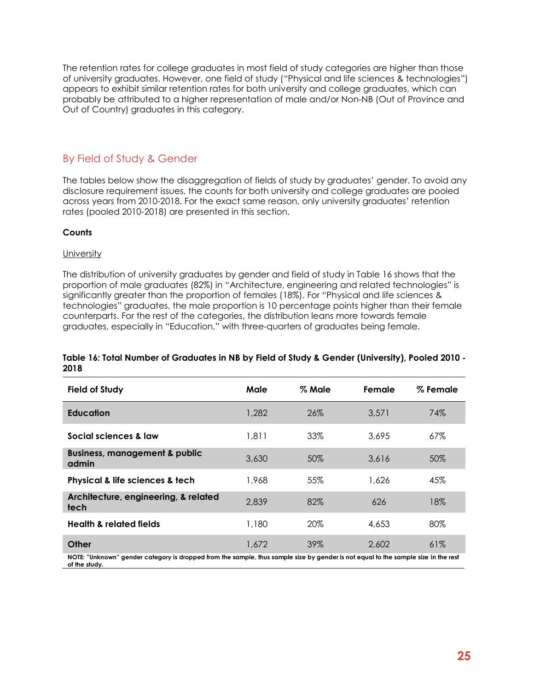The retention rates for college graduates in most field of study categories are higher than those of university graduates. However, one field of study ("Physical and life sciences & technologies") appears to exhibit similar retention rates for both university and college graduates, which can probably be attributed to a higher representation of male and/or Non-NB (Out of Province and Out of Country) graduates in this category.

### <span id="page-31-0"></span>By Field of Study & Gender

The tables below show the disaggregation of fields of study by graduates' gender. To avoid any disclosure requirement issues, the counts for both university and college graduates are pooled across years from 2010-2018. For the exact same reason, only university graduates' retention rates (pooled 2010-2018) are presented in this section.

#### **Counts**

#### **University**

The distribution of university graduates by gender and field of study in Table 16 shows that the proportion of male graduates (82%) in "Architecture, engineering and related technologies" is significantly greater than the proportion of females (18%). For "Physical and life sciences & technologies" graduates, the male proportion is 10 percentage points higher than their female counterparts. For the rest of the categories, the distribution leans more towards female graduates, especially in "Education," with three-quarters of graduates being female.

#### <span id="page-31-1"></span>**Table 16: Total Number of Graduates in NB by Field of Study & Gender (University), Pooled 2010 - 2018**

| Male  | % Male | Female | % Female |
|-------|--------|--------|----------|
| 1,282 | 26%    | 3,571  | 74%      |
| 1,811 | 33%    | 3,695  | 67%      |
| 3,630 | 50%    | 3,616  | 50%      |
| 1,968 | 55%    | 1,626  | 45%      |
| 2,839 | 82%    | 626    | 18%      |
| 1,180 | 20%    | 4,653  | 80%      |
| 1,672 | 39%    | 2,602  | 61%      |
|       |        |        |          |

**NOTE: "Unknown" gender category is dropped from the sample, thus sample size by gender is not equal to the sample size in the rest of the study.**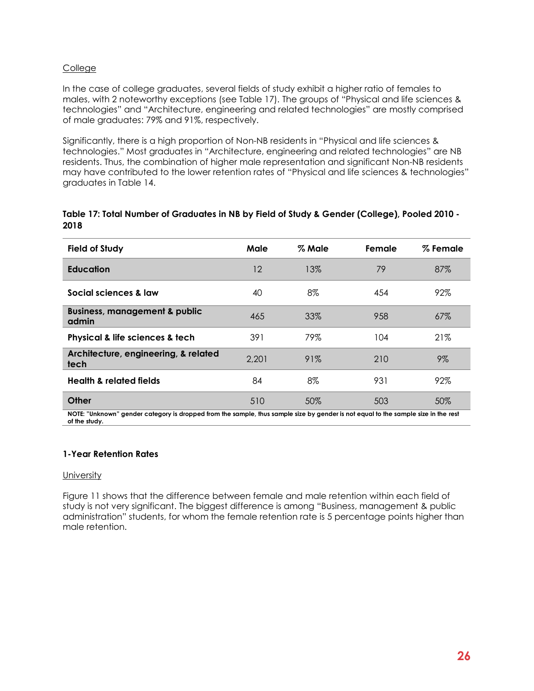#### College

In the case of college graduates, several fields of study exhibit a higher ratio of females to males, with 2 noteworthy exceptions (see Table 17). The groups of "Physical and life sciences & technologies" and "Architecture, engineering and related technologies" are mostly comprised of male graduates: 79% and 91%, respectively.

Significantly, there is a high proportion of Non-NB residents in "Physical and life sciences & technologies." Most graduates in "Architecture, engineering and related technologies" are NB residents. Thus, the combination of higher male representation and significant Non-NB residents may have contributed to the lower retention rates of "Physical and life sciences & technologies" graduates in Table 14.

<span id="page-32-0"></span>

|      |  | - Table 17: Total Number of Graduates in NB by Field of Study & Gender (College), Pooled 2010 |  |  |
|------|--|-----------------------------------------------------------------------------------------------|--|--|
| 2018 |  |                                                                                               |  |  |

| <b>Field of Study</b>                                                      | Male  | % Male                                                                                                 | Female | % Female |
|----------------------------------------------------------------------------|-------|--------------------------------------------------------------------------------------------------------|--------|----------|
| <b>Education</b>                                                           | 12    | 13%                                                                                                    | 79     | 87%      |
| Social sciences & law                                                      | 40    | 8%                                                                                                     | 454    | 92%      |
| <b>Business, management &amp; public</b><br>admin                          | 465   | 33%                                                                                                    | 958    | 67%      |
| Physical & life sciences & tech                                            | 391   | 79%                                                                                                    | 104    | 21%      |
| Architecture, engineering, & related<br>tech                               | 2,201 | 91%                                                                                                    | 210    | $9\%$    |
| <b>Health &amp; related fields</b>                                         | 84    | 8%                                                                                                     | 931    | 92%      |
| Other<br>MOTE: "Halin com", we wake a stamper to always a although the com | 510   | 50%<br>المنفور والملحا ومالا والمتحدد والمالس والمتنبذ والمرود والمواصلين والمناد والمتحدث وبيطل الوال | 503    | 50%      |

**NOTE: "Unknown" gender category is dropped from the sample, thus sample size by gender is not equal to the sample size in the rest of the study.**

#### **1-Year Retention Rates**

#### **University**

Figure 11 shows that the difference between female and male retention within each field of study is not very significant. The biggest difference is among "Business, management & public administration" students, for whom the female retention rate is 5 percentage points higher than male retention.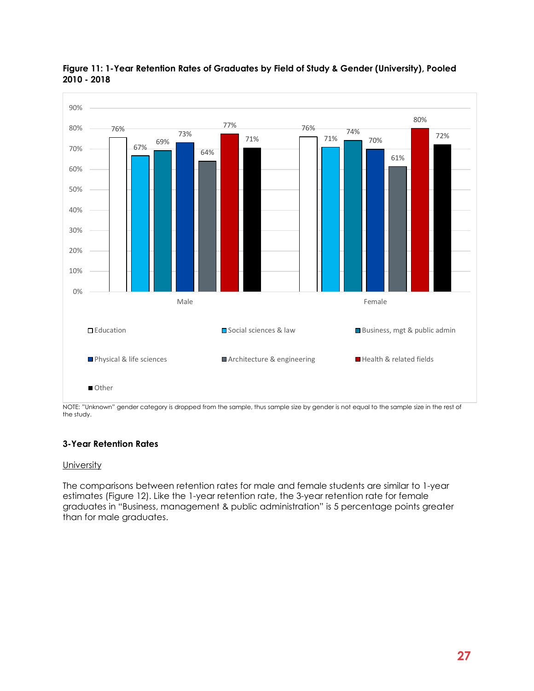

#### <span id="page-33-0"></span>**Figure 11: 1-Year Retention Rates of Graduates by Field of Study & Gender (University), Pooled 2010 - 2018**

NOTE: "Unknown" gender category is dropped from the sample, thus sample size by gender is not equal to the sample size in the rest of the study.

### **3-Year Retention Rates**

#### **University**

The comparisons between retention rates for male and female students are similar to 1-year estimates (Figure 12). Like the 1-year retention rate, the 3-year retention rate for female graduates in "Business, management & public administration" is 5 percentage points greater than for male graduates.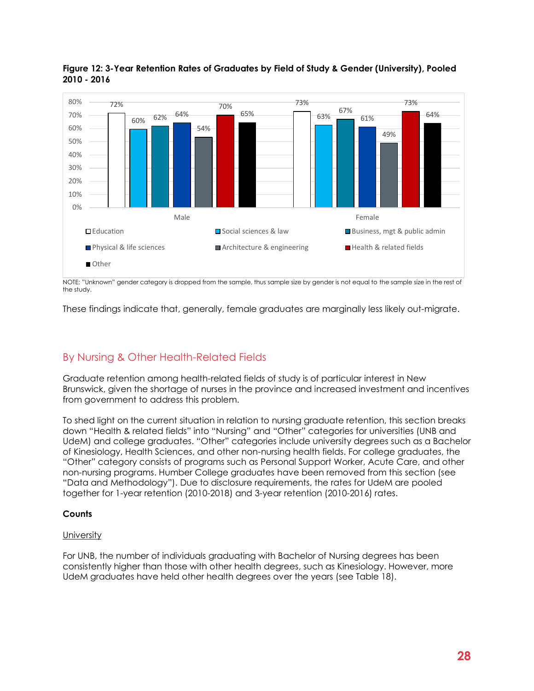

<span id="page-34-1"></span>**Figure 12: 3-Year Retention Rates of Graduates by Field of Study & Gender (University), Pooled 2010 - 2016**

NOTE: "Unknown" gender category is dropped from the sample, thus sample size by gender is not equal to the sample size in the rest of the study.

These findings indicate that, generally, female graduates are marginally less likely out-migrate.

# <span id="page-34-0"></span>By Nursing & Other Health-Related Fields

Graduate retention among health-related fields of study is of particular interest in New Brunswick, given the shortage of nurses in the province and increased investment and incentives from government to address this problem.

To shed light on the current situation in relation to nursing graduate retention, this section breaks down "Health & related fields" into "Nursing" and "Other" categories for universities (UNB and UdeM) and college graduates. "Other" categories include university degrees such as a Bachelor of Kinesiology, Health Sciences, and other non-nursing health fields. For college graduates, the "Other" category consists of programs such as Personal Support Worker, Acute Care, and other non-nursing programs. Humber College graduates have been removed from this section (see "Data and Methodology"). Due to disclosure requirements, the rates for UdeM are pooled together for 1-year retention (2010-2018) and 3-year retention (2010-2016) rates.

#### **Counts**

#### **University**

<span id="page-34-2"></span>For UNB, the number of individuals graduating with Bachelor of Nursing degrees has been consistently higher than those with other health degrees, such as Kinesiology. However, more UdeM graduates have held other health degrees over the years (see Table 18).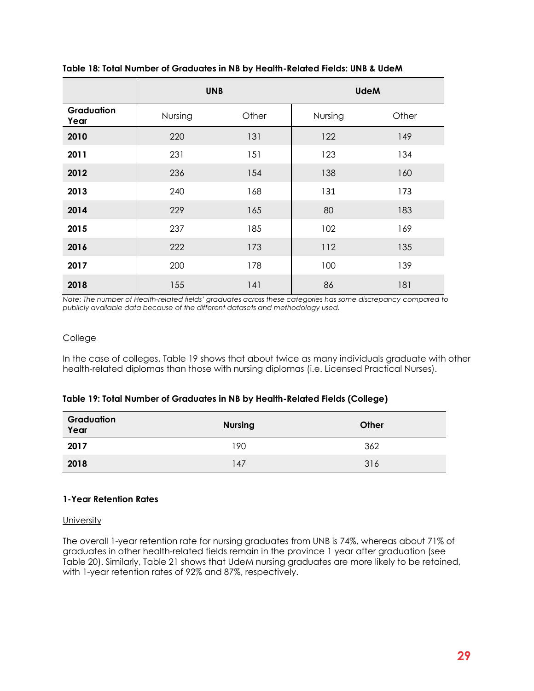|                    | <b>UNB</b> |       |         | <b>UdeM</b> |
|--------------------|------------|-------|---------|-------------|
| Graduation<br>Year | Nursing    | Other | Nursing | Other       |
| 2010               | 220        | 131   | 122     | 149         |
| 2011               | 231        | 151   | 123     | 134         |
| 2012               | 236        | 154   | 138     | 160         |
| 2013               | 240        | 168   | 131     | 173         |
| 2014               | 229        | 165   | 80      | 183         |
| 2015               | 237        | 185   | 102     | 169         |
| 2016               | 222        | 173   | 112     | 135         |
| 2017               | 200        | 178   | 100     | 139         |
| 2018               | 155        | 141   | 86      | 181         |

#### **Table 18: Total Number of Graduates in NB by Health-Related Fields: UNB & UdeM**

*Note: The number of Health-related fields' graduates across these categories has some discrepancy compared to publicly available data because of the different datasets and methodology used.*

#### College

In the case of colleges, Table 19 shows that about twice as many individuals graduate with other health-related diplomas than those with nursing diplomas (i.e. Licensed Practical Nurses).

#### <span id="page-35-0"></span>**Table 19: Total Number of Graduates in NB by Health-Related Fields (College)**

| Graduation<br>Year | <b>Nursing</b> | Other |
|--------------------|----------------|-------|
| 2017               | 190            | 362   |
| 2018               | 147            | 316   |

#### **1-Year Retention Rates**

**University** 

<span id="page-35-1"></span>The overall 1-year retention rate for nursing graduates from UNB is 74%, whereas about 71% of graduates in other health-related fields remain in the province 1 year after graduation (see Table 20). Similarly, Table 21 shows that UdeM nursing graduates are more likely to be retained, with 1-year retention rates of 92% and 87%, respectively.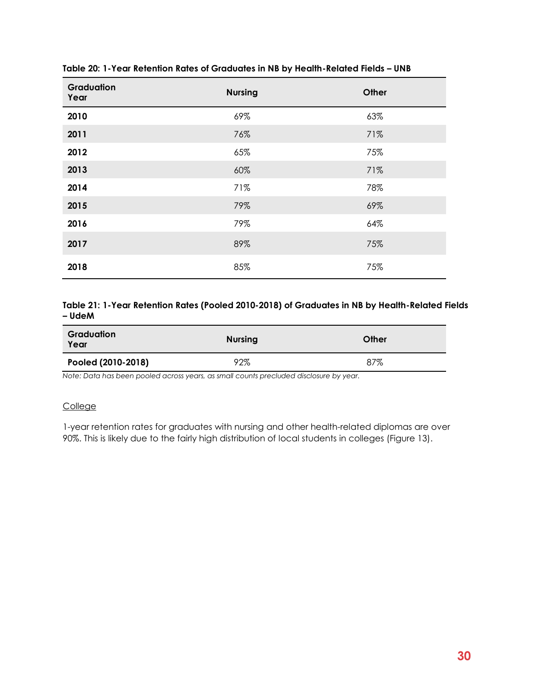| Graduation<br>Year | <b>Nursing</b> | Other |
|--------------------|----------------|-------|
| 2010               | 69%            | 63%   |
| 2011               | 76%            | 71%   |
| 2012               | 65%            | 75%   |
| 2013               | 60%            | 71%   |
| 2014               | 71%            | 78%   |
| 2015               | 79%            | 69%   |
| 2016               | 79%            | 64%   |
| 2017               | 89%            | 75%   |
| 2018               | 85%            | 75%   |

#### **Table 20: 1-Year Retention Rates of Graduates in NB by Health-Related Fields – UNB**

#### <span id="page-36-0"></span>**Table 21: 1-Year Retention Rates (Pooled 2010-2018) of Graduates in NB by Health-Related Fields – UdeM**

| Graduation<br>Year | <b>Nursing</b> | Other |
|--------------------|----------------|-------|
| Pooled (2010-2018) | 92%            | 87%   |

*Note: Data has been pooled across years, as small counts precluded disclosure by year.*

#### **College**

1-year retention rates for graduates with nursing and other health-related diplomas are over 90%. This is likely due to the fairly high distribution of local students in colleges (Figure 13).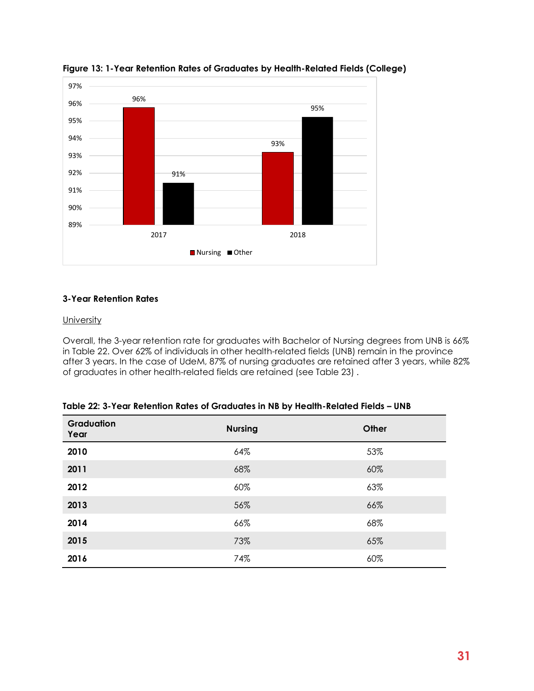

<span id="page-37-0"></span>**Figure 13: 1-Year Retention Rates of Graduates by Health-Related Fields (College)**

#### **3-Year Retention Rates**

#### **University**

Overall, the 3-year retention rate for graduates with Bachelor of Nursing degrees from UNB is 66% in Table 22. Over 62% of individuals in other health-related fields (UNB) remain in the province after 3 years. In the case of UdeM, 87% of nursing graduates are retained after 3 years, while 82% of graduates in other health-related fields are retained (see Table 23) .

<span id="page-37-2"></span>

| <b>Graduation</b><br>Year | <b>Nursing</b> | Other |
|---------------------------|----------------|-------|
| 2010                      | 64%            | 53%   |
| 2011                      | 68%            | 60%   |
| 2012                      | 60%            | 63%   |
| 2013                      | 56%            | 66%   |
| 2014                      | 66%            | 68%   |
| 2015                      | 73%            | 65%   |
| 2016                      | 74%            | 60%   |

<span id="page-37-1"></span>

| Table 22: 3-Year Retention Rates of Graduates in NB by Health-Related Fields – UNB |  |
|------------------------------------------------------------------------------------|--|
|------------------------------------------------------------------------------------|--|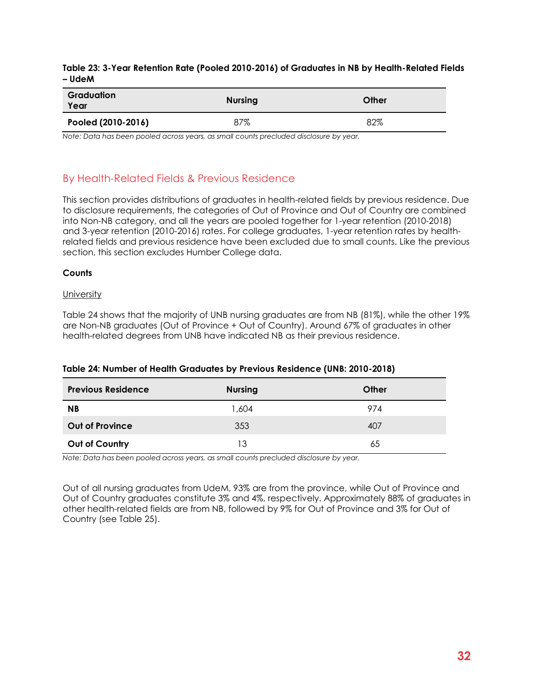#### **Table 23: 3-Year Retention Rate (Pooled 2010-2016) of Graduates in NB by Health-Related Fields – UdeM**

| Graduation<br>Year | <b>Nursing</b> | Other |
|--------------------|----------------|-------|
| Pooled (2010-2016) | 87%            | 82%   |

*Note: Data has been pooled across years, as small counts precluded disclosure by year.*

# <span id="page-38-0"></span>By Health-Related Fields & Previous Residence

This section provides distributions of graduates in health-related fields by previous residence. Due to disclosure requirements, the categories of Out of Province and Out of Country are combined into Non-NB category, and all the years are pooled together for 1-year retention (2010-2018) and 3-year retention (2010-2016) rates. For college graduates, 1-year retention rates by healthrelated fields and previous residence have been excluded due to small counts. Like the previous section, this section excludes Humber College data.

#### **Counts**

#### **University**

Table 24 shows that the majority of UNB nursing graduates are from NB (81%), while the other 19% are Non-NB graduates (Out of Province + Out of Country). Around 67% of graduates in other health-related degrees from UNB have indicated NB as their previous residence.

| <b>Previous Residence</b> | <b>Nursing</b> | Other |
|---------------------------|----------------|-------|
| <b>NB</b>                 | 1,604          | 974   |
| <b>Out of Province</b>    | 353            | 407   |
| Out of Country            | 13             | 65    |

#### <span id="page-38-1"></span>**Table 24: Number of Health Graduates by Previous Residence (UNB: 2010-2018)**

*Note: Data has been pooled across years, as small counts precluded disclosure by year.*

<span id="page-38-2"></span>Out of all nursing graduates from UdeM, 93% are from the province, while Out of Province and Out of Country graduates constitute 3% and 4%, respectively. Approximately 88% of graduates in other health-related fields are from NB, followed by 9% for Out of Province and 3% for Out of Country (see Table 25).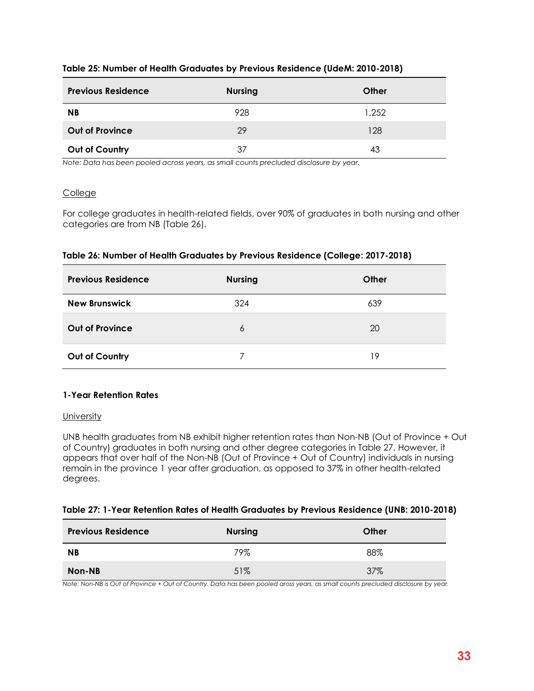#### **Table 25: Number of Health Graduates by Previous Residence (UdeM: 2010-2018)**

| <b>Previous Residence</b> | <b>Nursing</b> | Other |
|---------------------------|----------------|-------|
| ΝB                        | 928            | 1,252 |
| <b>Out of Province</b>    | 29             | 128   |
| Out of Country            | 37             | 43    |

*Note: Data has been pooled across years, as small counts precluded disclosure by year.* 

#### **College**

For college graduates in health-related fields, over 90% of graduates in both nursing and other categories are from NB (Table 26).

#### <span id="page-39-0"></span>**Table 26: Number of Health Graduates by Previous Residence (College: 2017-2018)**

| <b>Previous Residence</b> | <b>Nursing</b> | Other |
|---------------------------|----------------|-------|
| <b>New Brunswick</b>      | 324            | 639   |
| <b>Out of Province</b>    | 6              | 20    |
| Out of Country            |                | 19    |

#### **1-Year Retention Rates**

#### **University**

UNB health graduates from NB exhibit higher retention rates than Non-NB (Out of Province + Out of Country) graduates in both nursing and other degree categories in Table 27. However, it appears that over half of the Non-NB (Out of Province + Out of Country) individuals in nursing remain in the province 1 year after graduation, as opposed to 37% in other health-related degrees.

#### <span id="page-39-1"></span>**Table 27: 1-Year Retention Rates of Health Graduates by Previous Residence (UNB: 2010-2018)**

| <b>Previous Residence</b> | <b>Nursing</b> | Other |
|---------------------------|----------------|-------|
| <b>NB</b>                 | 79%            | 88%   |
| Non-NB                    | 51%            | 37%   |

*Note: Non-NB is Out of Province + Out of Country. Data has been pooled aross years, as small counts precluded disclosure by year.*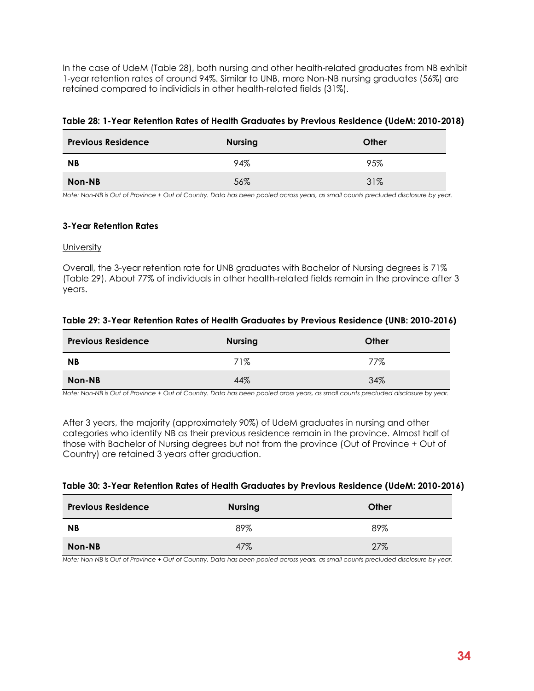In the case of UdeM (Table 28), both nursing and other health-related graduates from NB exhibit 1-year retention rates of around 94%. Similar to UNB, more Non-NB nursing graduates (56%) are retained compared to individials in other health-related fields (31%).

#### <span id="page-40-1"></span>**Table 28: 1-Year Retention Rates of Health Graduates by Previous Residence (UdeM: 2010-2018)**

| <b>Previous Residence</b> | <b>Nursing</b> | Other |
|---------------------------|----------------|-------|
| <b>NB</b>                 | 94%            | 95%   |
| Non-NB                    | 56%            | 31%   |

*Note: Non-NB is Out of Province + Out of Country. Data has been pooled across years, as small counts precluded disclosure by year.* 

#### **3-Year Retention Rates**

#### **University**

Overall, the 3-year retention rate for UNB graduates with Bachelor of Nursing degrees is 71% (Table 29). About 77% of individuals in other health-related fields remain in the province after 3 years.

#### <span id="page-40-2"></span>**Table 29: 3-Year Retention Rates of Health Graduates by Previous Residence (UNB: 2010-2016)**

| <b>Previous Residence</b> | <b>Nursing</b> | Other |
|---------------------------|----------------|-------|
| <b>NB</b>                 | 71%            | 77%   |
| Non-NB                    | 44%            | 34%   |

*Note: Non-NB is Out of Province + Out of Country. Data has been pooled aross years, as small counts precluded disclosure by year.*

After 3 years, the majority (approximately 90%) of UdeM graduates in nursing and other categories who identify NB as their previous residence remain in the province. Almost half of those with Bachelor of Nursing degrees but not from the province (Out of Province + Out of Country) are retained 3 years after graduation.

#### <span id="page-40-3"></span>**Table 30: 3-Year Retention Rates of Health Graduates by Previous Residence (UdeM: 2010-2016)**

| <b>Previous Residence</b> | <b>Nursing</b> | Other |
|---------------------------|----------------|-------|
| <b>NB</b>                 | 89%            | 89%   |
| Non-NB                    | 47%            | 27%   |

<span id="page-40-0"></span>*Note: Non-NB is Out of Province + Out of Country. Data has been pooled across years, as small counts precluded disclosure by year.*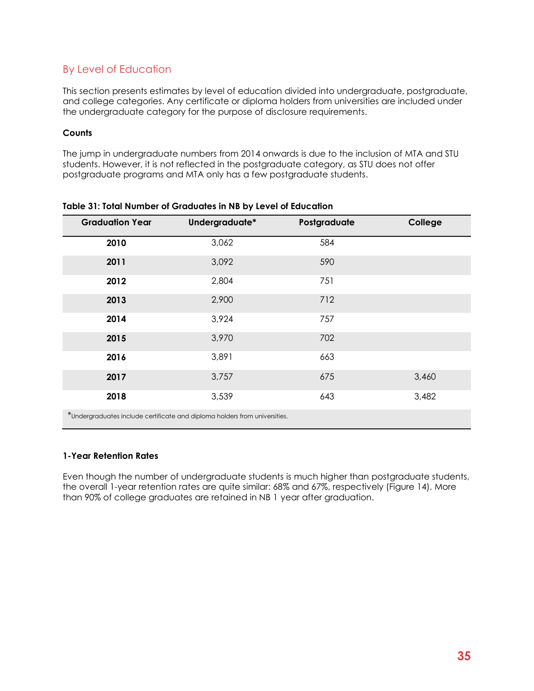# By Level of Education

This section presents estimates by level of education divided into undergraduate, postgraduate, and college categories. Any certificate or diploma holders from universities are included under the undergraduate category for the purpose of disclosure requirements.

#### **Counts**

The jump in undergraduate numbers from 2014 onwards is due to the inclusion of MTA and STU students. However, it is not reflected in the postgraduate category, as STU does not offer postgraduate programs and MTA only has a few postgraduate students.

| <b>Graduation Year</b> | Undergraduate*                                                             | Postgraduate | College |
|------------------------|----------------------------------------------------------------------------|--------------|---------|
| 2010                   | 3,062                                                                      | 584          |         |
| 2011                   | 3,092                                                                      | 590          |         |
| 2012                   | 2,804                                                                      | 751          |         |
| 2013                   | 2,900                                                                      | 712          |         |
| 2014                   | 3,924                                                                      | 757          |         |
| 2015                   | 3,970                                                                      | 702          |         |
| 2016                   | 3,891                                                                      | 663          |         |
| 2017                   | 3,757                                                                      | 675          | 3,460   |
| 2018                   | 3,539                                                                      | 643          | 3,482   |
|                        | *Undergraduates include certificate and diploma holders from universities. |              |         |

<span id="page-41-1"></span>

#### **1-Year Retention Rates**

<span id="page-41-0"></span>Even though the number of undergraduate students is much higher than postgraduate students, the overall 1-year retention rates are quite similar: 68% and 67%, respectively (Figure 14). More than 90% of college graduates are retained in NB 1 year after graduation.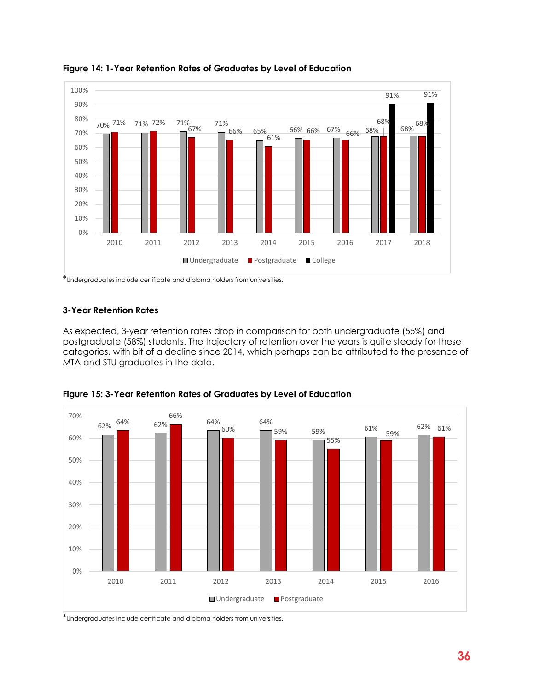

**Figure 14: 1-Year Retention Rates of Graduates by Level of Education**

\*Undergraduates include certificate and diploma holders from universities.

#### **3-Year Retention Rates**

As expected, 3-year retention rates drop in comparison for both undergraduate (55%) and postgraduate (58%) students. The trajectory of retention over the years is quite steady for these categories, with bit of a decline since 2014, which perhaps can be attributed to the presence of MTA and STU graduates in the data.



<span id="page-42-1"></span>**Figure 15: 3-Year Retention Rates of Graduates by Level of Education**

<span id="page-42-0"></span>\*Undergraduates include certificate and diploma holders from universities.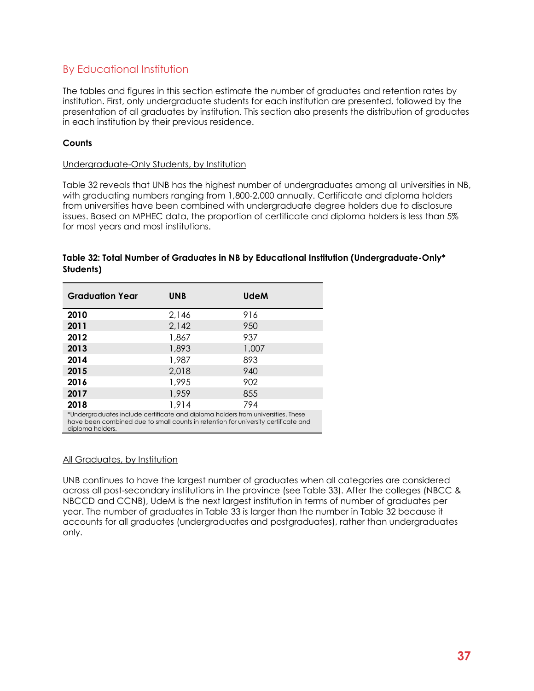# By Educational Institution

The tables and figures in this section estimate the number of graduates and retention rates by institution. First, only undergraduate students for each institution are presented, followed by the presentation of all graduates by institution. This section also presents the distribution of graduates in each institution by their previous residence.

#### **Counts**

#### Undergraduate-Only Students, by Institution

Table 32 reveals that UNB has the highest number of undergraduates among all universities in NB, with graduating numbers ranging from 1,800-2,000 annually. Certificate and diploma holders from universities have been combined with undergraduate degree holders due to disclosure issues. Based on MPHEC data, the proportion of certificate and diploma holders is less than 5% for most years and most institutions.

| <b>Graduation Year</b> | <b>UNB</b> | <b>UdeM</b>                                                                      |
|------------------------|------------|----------------------------------------------------------------------------------|
| 2010                   | 2,146      | 916                                                                              |
| 2011                   | 2,142      | 950                                                                              |
| 2012                   | 1,867      | 937                                                                              |
| 2013                   | 1,893      | 1,007                                                                            |
| 2014                   | 1,987      | 893                                                                              |
| 2015                   | 2,018      | 940                                                                              |
| 2016                   | 1,995      | 902                                                                              |
| 2017                   | 1,959      | 855                                                                              |
| 2018                   | 1,914      | 794                                                                              |
|                        |            | *Undergraduates include certificate and diploma holders from universities. These |

#### <span id="page-43-0"></span>**Table 32: Total Number of Graduates in NB by Educational Institution (Undergraduate-Only\* Students)**

have been combined due to small counts in retention for university certificate and diploma holders.

#### All Graduates, by Institution

UNB continues to have the largest number of graduates when all categories are considered across all post-secondary institutions in the province (see Table 33). After the colleges (NBCC & NBCCD and CCNB), UdeM is the next largest institution in terms of number of graduates per year. The number of graduates in Table 33 is larger than the number in Table 32 because it accounts for all graduates (undergraduates and postgraduates), rather than undergraduates only.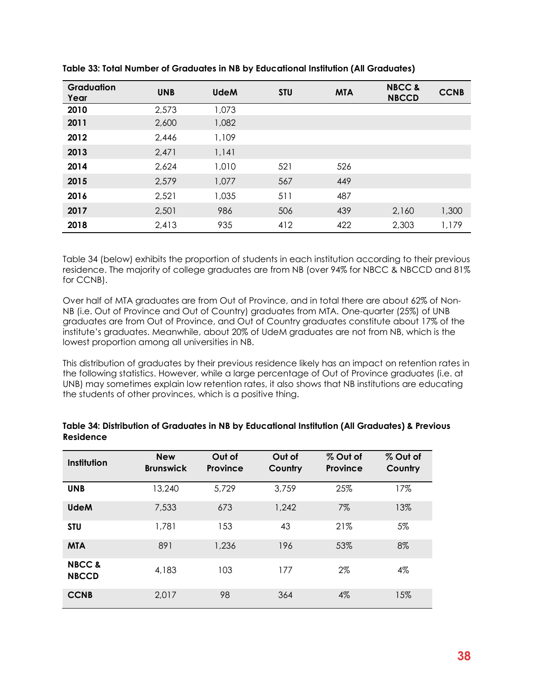| Graduation<br>Year | <b>UNB</b> | <b>UdeM</b> | <b>STU</b> | <b>MTA</b> | <b>NBCC &amp;</b><br><b>NBCCD</b> | <b>CCNB</b> |
|--------------------|------------|-------------|------------|------------|-----------------------------------|-------------|
| 2010               | 2,573      | 1,073       |            |            |                                   |             |
| 2011               | 2,600      | 1,082       |            |            |                                   |             |
| 2012               | 2,446      | 1,109       |            |            |                                   |             |
| 2013               | 2,471      | 1,141       |            |            |                                   |             |
| 2014               | 2,624      | 1,010       | 521        | 526        |                                   |             |
| 2015               | 2,579      | 1,077       | 567        | 449        |                                   |             |
| 2016               | 2,521      | 1,035       | 511        | 487        |                                   |             |
| 2017               | 2,501      | 986         | 506        | 439        | 2,160                             | 1,300       |
| 2018               | 2,413      | 935         | 412        | 422        | 2,303                             | 1,179       |

<span id="page-44-0"></span>**Table 33: Total Number of Graduates in NB by Educational Institution (All Graduates)**

Table 34 (below) exhibits the proportion of students in each institution according to their previous residence. The majority of college graduates are from NB (over 94% for NBCC & NBCCD and 81% for CCNB).

Over half of MTA graduates are from Out of Province, and in total there are about 62% of Non-NB (i.e. Out of Province and Out of Country) graduates from MTA. One-quarter (25%) of UNB graduates are from Out of Province, and Out of Country graduates constitute about 17% of the institute's graduates. Meanwhile, about 20% of UdeM graduates are not from NB, which is the lowest proportion among all universities in NB.

This distribution of graduates by their previous residence likely has an impact on retention rates in the following statistics. However, while a large percentage of Out of Province graduates (i.e. at UNB) may sometimes explain low retention rates, it also shows that NB institutions are educating the students of other provinces, which is a positive thing.

| Institution                       | <b>New</b><br><b>Brunswick</b> | Out of<br>Province | Out of<br>Country | % Out of<br><b>Province</b> | % Out of<br>Country |
|-----------------------------------|--------------------------------|--------------------|-------------------|-----------------------------|---------------------|
| <b>UNB</b>                        | 13,240                         | 5,729              | 3,759             | 25%                         | 17%                 |
| <b>UdeM</b>                       | 7,533                          | 673                | 1,242             | $7\%$                       | 13%                 |
| <b>STU</b>                        | 1,781                          | 153                | 43                | 21%                         | 5%                  |
| <b>MTA</b>                        | 891                            | 1,236              | 196               | 53%                         | 8%                  |
| <b>NBCC &amp;</b><br><b>NBCCD</b> | 4,183                          | 103                | 177               | 2%                          | 4%                  |
| <b>CCNB</b>                       | 2,017                          | 98                 | 364               | 4%                          | 15%                 |

<span id="page-44-1"></span>**Table 34: Distribution of Graduates in NB by Educational Institution (All Graduates) & Previous Residence**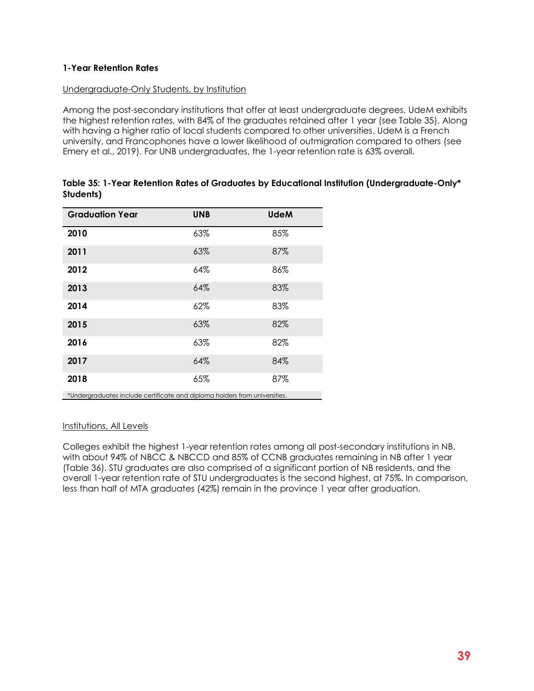#### **1-Year Retention Rates**

#### Undergraduate-Only Students, by Institution

Among the post-secondary institutions that offer at least undergraduate degrees, UdeM exhibits the highest retention rates, with 84% of the graduates retained after 1 year (see Table 35). Along with having a higher ratio of local students compared to other universities, UdeM is a French university, and Francophones have a lower likelihood of outmigration compared to others (see Emery et al., 2019). For UNB undergraduates, the 1-year retention rate is 63% overall.

| <b>Graduation Year</b>                                                     | <b>UNB</b> | <b>UdeM</b> |
|----------------------------------------------------------------------------|------------|-------------|
| 2010                                                                       | 63%        | 85%         |
| 2011                                                                       | 63%        | 87%         |
| 2012                                                                       | 64%        | 86%         |
| 2013                                                                       | 64%        | 83%         |
| 2014                                                                       | 62%        | 83%         |
| 2015                                                                       | 63%        | 82%         |
| 2016                                                                       | 63%        | 82%         |
| 2017                                                                       | 64%        | 84%         |
| 2018                                                                       | 65%        | 87%         |
| *Undergraduates include certificate and diploma holders from universities. |            |             |

<span id="page-45-0"></span>

| Table 35: 1-Year Retention Rates of Graduates by Educational Institution (Undergraduate-Only* |  |
|-----------------------------------------------------------------------------------------------|--|
| Students)                                                                                     |  |

#### Institutions, All Levels

<span id="page-45-1"></span>Colleges exhibit the highest 1-year retention rates among all post-secondary institutions in NB, with about 94% of NBCC & NBCCD and 85% of CCNB graduates remaining in NB after 1 year (Table 36). STU graduates are also comprised of a significant portion of NB residents, and the overall 1-year retention rate of STU undergraduates is the second highest, at 75%. In comparison, less than half of MTA graduates (42%) remain in the province 1 year after graduation.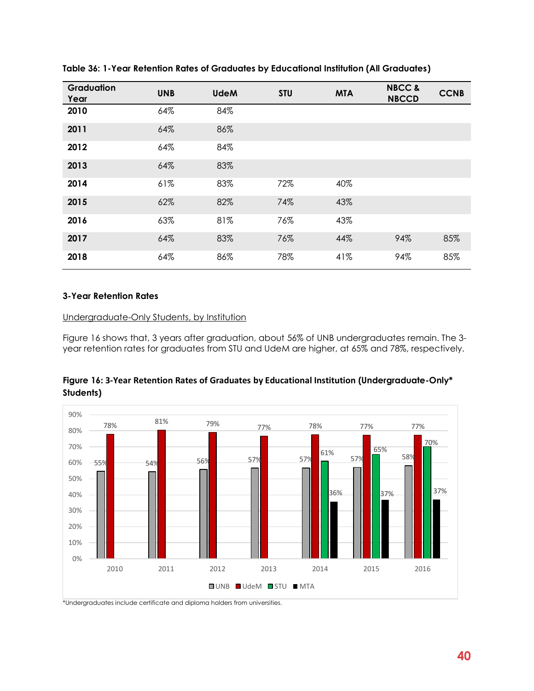| Graduation<br>Year | <b>UNB</b> | <b>UdeM</b> | <b>STU</b> | <b>MTA</b> | <b>NBCC &amp;</b><br><b>NBCCD</b> | <b>CCNB</b> |
|--------------------|------------|-------------|------------|------------|-----------------------------------|-------------|
| 2010               | 64%        | 84%         |            |            |                                   |             |
| 2011               | 64%        | 86%         |            |            |                                   |             |
| 2012               | 64%        | 84%         |            |            |                                   |             |
| 2013               | 64%        | 83%         |            |            |                                   |             |
| 2014               | 61%        | 83%         | 72%        | 40%        |                                   |             |
| 2015               | 62%        | 82%         | 74%        | 43%        |                                   |             |
| 2016               | 63%        | 81%         | 76%        | 43%        |                                   |             |
| 2017               | 64%        | 83%         | 76%        | 44%        | 94%                               | 85%         |
| 2018               | 64%        | 86%         | 78%        | 41%        | 94%                               | 85%         |

**Table 36: 1-Year Retention Rates of Graduates by Educational Institution (All Graduates)**

#### **3-Year Retention Rates**

#### Undergraduate-Only Students, by Institution

Figure 16 shows that, 3 years after graduation, about 56% of UNB undergraduates remain. The 3 year retention rates for graduates from STU and UdeM are higher, at 65% and 78%, respectively.



<span id="page-46-0"></span>**Figure 16: 3-Year Retention Rates of Graduates by Educational Institution (Undergraduate-Only\* Students)**

\*Undergraduates include certificate and diploma holders from universities.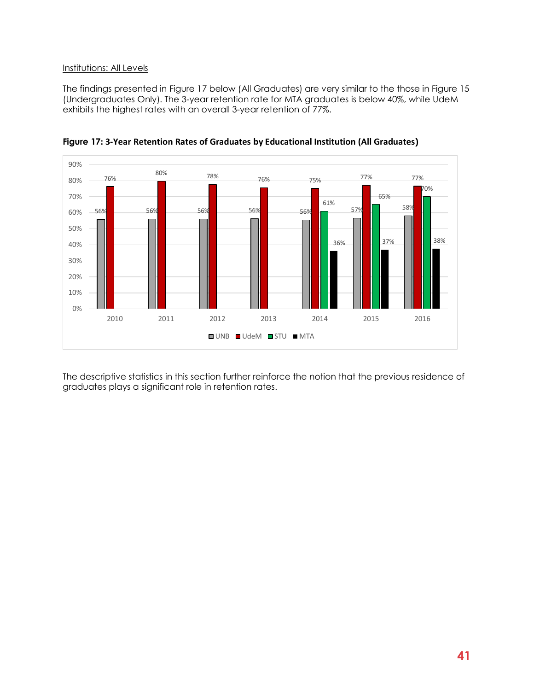#### Institutions: All Levels

The findings presented in Figure 17 below (All Graduates) are very similar to the those in Figure 15 (Undergraduates Only). The 3-year retention rate for MTA graduates is below 40%, while UdeM exhibits the highest rates with an overall 3-year retention of 77%.



<span id="page-47-0"></span>**Figure 17: 3-Year Retention Rates of Graduates by Educational Institution (All Graduates)**

The descriptive statistics in this section further reinforce the notion that the previous residence of graduates plays a significant role in retention rates.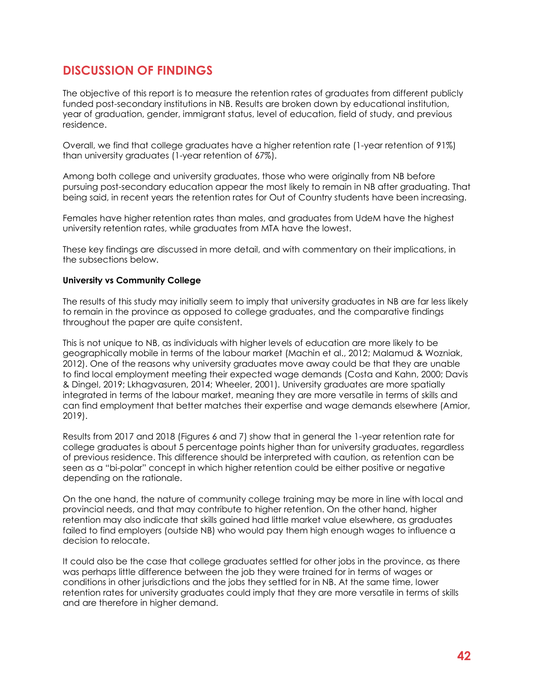# <span id="page-48-0"></span>**DISCUSSION OF FINDINGS**

The objective of this report is to measure the retention rates of graduates from different publicly funded post-secondary institutions in NB. Results are broken down by educational institution, year of graduation, gender, immigrant status, level of education, field of study, and previous residence.

Overall, we find that college graduates have a higher retention rate (1-year retention of 91%) than university graduates (1-year retention of 67%).

Among both college and university graduates, those who were originally from NB before pursuing post-secondary education appear the most likely to remain in NB after graduating. That being said, in recent years the retention rates for Out of Country students have been increasing.

Females have higher retention rates than males, and graduates from UdeM have the highest university retention rates, while graduates from MTA have the lowest.

These key findings are discussed in more detail, and with commentary on their implications, in the subsections below.

#### **University vs Community College**

The results of this study may initially seem to imply that university graduates in NB are far less likely to remain in the province as opposed to college graduates, and the comparative findings throughout the paper are quite consistent.

This is not unique to NB, as individuals with higher levels of education are more likely to be geographically mobile in terms of the labour market (Machin et al., 2012; Malamud & Wozniak, 2012). One of the reasons why university graduates move away could be that they are unable to find local employment meeting their expected wage demands (Costa and Kahn, 2000; Davis & Dingel, 2019; Lkhagvasuren, 2014; Wheeler, 2001). University graduates are more spatially integrated in terms of the labour market, meaning they are more versatile in terms of skills and can find employment that better matches their expertise and wage demands elsewhere (Amior, 2019).

Results from 2017 and 2018 (Figures 6 and 7) show that in general the 1-year retention rate for college graduates is about 5 percentage points higher than for university graduates, regardless of previous residence. This difference should be interpreted with caution, as retention can be seen as a "bi-polar" concept in which higher retention could be either positive or negative depending on the rationale.

On the one hand, the nature of community college training may be more in line with local and provincial needs, and that may contribute to higher retention. On the other hand, higher retention may also indicate that skills gained had little market value elsewhere, as graduates failed to find employers (outside NB) who would pay them high enough wages to influence a decision to relocate.

It could also be the case that college graduates settled for other jobs in the province, as there was perhaps little difference between the job they were trained for in terms of wages or conditions in other jurisdictions and the jobs they settled for in NB. At the same time, lower retention rates for university graduates could imply that they are more versatile in terms of skills and are therefore in higher demand.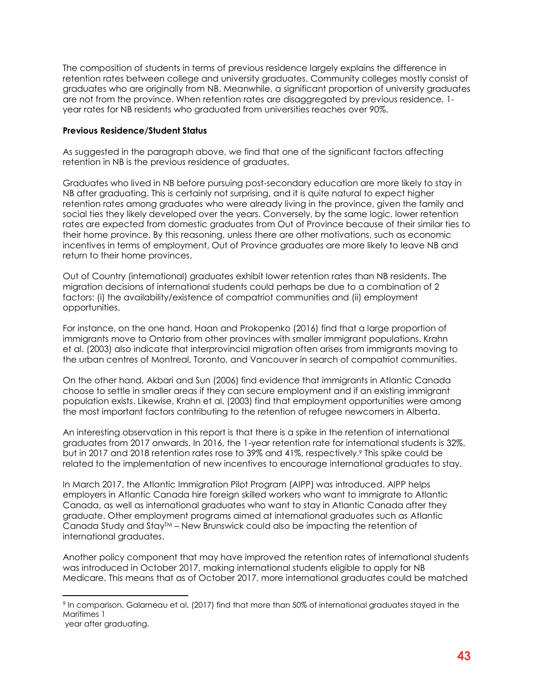The composition of students in terms of previous residence largely explains the difference in retention rates between college and university graduates. Community colleges mostly consist of graduates who are originally from NB. Meanwhile, a significant proportion of university graduates are not from the province. When retention rates are disaggregated by previous residence, 1 year rates for NB residents who graduated from universities reaches over 90%.

#### **Previous Residence/Student Status**

As suggested in the paragraph above, we find that one of the significant factors affecting retention in NB is the previous residence of graduates.

Graduates who lived in NB before pursuing post-secondary education are more likely to stay in NB after graduating. This is certainly not surprising, and it is quite natural to expect higher retention rates among graduates who were already living in the province, given the family and social ties they likely developed over the years. Conversely, by the same logic, lower retention rates are expected from domestic graduates from Out of Province because of their similar ties to their home province. By this reasoning, unless there are other motivations, such as economic incentives in terms of employment, Out of Province graduates are more likely to leave NB and return to their home provinces.

Out of Country (international) graduates exhibit lower retention rates than NB residents. The migration decisions of international students could perhaps be due to a combination of 2 factors: (i) the availability/existence of compatriot communities and (ii) employment opportunities.

For instance, on the one hand, Haan and Prokopenko (2016) find that a large proportion of immigrants move to Ontario from other provinces with smaller immigrant populations. Krahn et al. (2003) also indicate that interprovincial migration often arises from immigrants moving to the urban centres of Montreal, Toronto, and Vancouver in search of compatriot communities.

On the other hand, Akbari and Sun (2006) find evidence that immigrants in Atlantic Canada choose to settle in smaller areas if they can secure employment and if an existing immigrant population exists. Likewise, Krahn et al. (2003) find that employment opportunities were among the most important factors contributing to the retention of refugee newcomers in Alberta.

An interesting observation in this report is that there is a spike in the retention of international graduates from 2017 onwards. In 2016, the 1-year retention rate for international students is 32%, but in 2017 and 2018 retention rates rose to 39% and 41%, respectively. <sup>9</sup> This spike could be related to the implementation of new incentives to encourage international graduates to stay.

In March 2017, the Atlantic Immigration Pilot Program (AIPP) was introduced. AIPP helps employers in Atlantic Canada hire foreign skilled workers who want to immigrate to Atlantic Canada, as well as international graduates who want to stay in Atlantic Canada after they graduate. Other employment programs aimed at international graduates such as Atlantic Canada Study and Stay $M -$  New Brunswick could also be impacting the retention of international graduates.

Another policy component that may have improved the retention rates of international students was introduced in October 2017, making international students eligible to apply for NB Medicare. This means that as of October 2017, more international graduates could be matched

<sup>9</sup> In comparison, Galarneau et al. (2017) find that more than 50% of international graduates stayed in the Maritimes 1

year after graduating.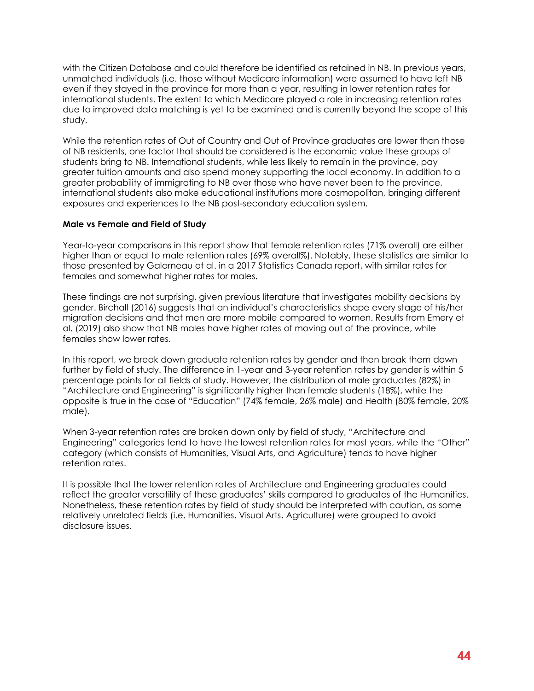with the Citizen Database and could therefore be identified as retained in NB. In previous years, unmatched individuals (i.e. those without Medicare information) were assumed to have left NB even if they stayed in the province for more than a year, resulting in lower retention rates for international students. The extent to which Medicare played a role in increasing retention rates due to improved data matching is yet to be examined and is currently beyond the scope of this study.

While the retention rates of Out of Country and Out of Province graduates are lower than those of NB residents, one factor that should be considered is the economic value these groups of students bring to NB. International students, while less likely to remain in the province, pay greater tuition amounts and also spend money supporting the local economy. In addition to a greater probability of immigrating to NB over those who have never been to the province, international students also make educational institutions more cosmopolitan, bringing different exposures and experiences to the NB post-secondary education system.

#### **Male vs Female and Field of Study**

Year-to-year comparisons in this report show that female retention rates (71% overall) are either higher than or equal to male retention rates (69% overall%). Notably, these statistics are similar to those presented by Galarneau et al. in a 2017 Statistics Canada report, with similar rates for females and somewhat higher rates for males.

These findings are not surprising, given previous literature that investigates mobility decisions by gender. Birchall (2016) suggests that an individual's characteristics shape every stage of his/her migration decisions and that men are more mobile compared to women. Results from Emery et al. (2019) also show that NB males have higher rates of moving out of the province, while females show lower rates.

In this report, we break down graduate retention rates by gender and then break them down further by field of study. The difference in 1-year and 3-year retention rates by gender is within 5 percentage points for all fields of study. However, the distribution of male graduates (82%) in "Architecture and Engineering" is significantly higher than female students (18%), while the opposite is true in the case of "Education" (74% female, 26% male) and Health (80% female, 20% male).

When 3-year retention rates are broken down only by field of study, "Architecture and Engineering" categories tend to have the lowest retention rates for most years, while the "Other" category (which consists of Humanities, Visual Arts, and Agriculture) tends to have higher retention rates.

It is possible that the lower retention rates of Architecture and Engineering graduates could reflect the greater versatility of these graduates' skills compared to graduates of the Humanities. Nonetheless, these retention rates by field of study should be interpreted with caution, as some relatively unrelated fields (i.e. Humanities, Visual Arts, Agriculture) were grouped to avoid disclosure issues.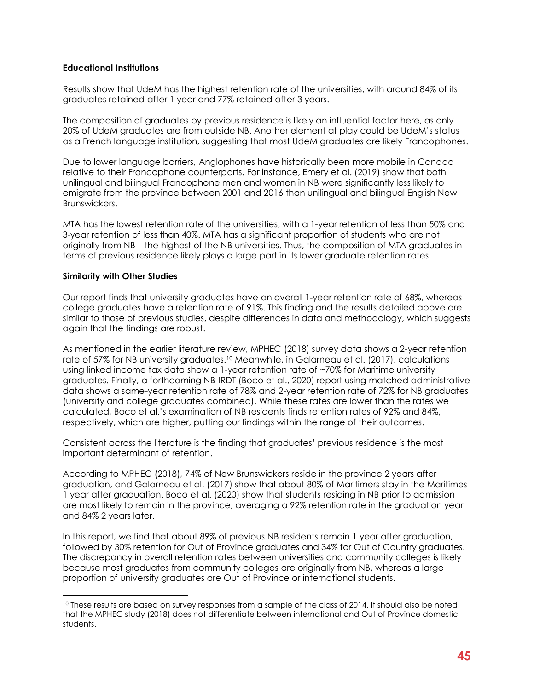#### **Educational Institutions**

Results show that UdeM has the highest retention rate of the universities, with around 84% of its graduates retained after 1 year and 77% retained after 3 years.

The composition of graduates by previous residence is likely an influential factor here, as only 20% of UdeM graduates are from outside NB. Another element at play could be UdeM's status as a French language institution, suggesting that most UdeM graduates are likely Francophones.

Due to lower language barriers, Anglophones have historically been more mobile in Canada relative to their Francophone counterparts. For instance, Emery et al. (2019) show that both unilingual and bilingual Francophone men and women in NB were significantly less likely to emigrate from the province between 2001 and 2016 than unilingual and bilingual English New Brunswickers.

MTA has the lowest retention rate of the universities, with a 1-year retention of less than 50% and 3-year retention of less than 40%. MTA has a significant proportion of students who are not originally from NB – the highest of the NB universities. Thus, the composition of MTA graduates in terms of previous residence likely plays a large part in its lower graduate retention rates.

#### **Similarity with Other Studies**

Our report finds that university graduates have an overall 1-year retention rate of 68%, whereas college graduates have a retention rate of 91%. This finding and the results detailed above are similar to those of previous studies, despite differences in data and methodology, which suggests again that the findings are robust.

As mentioned in the earlier literature review, MPHEC (2018) survey data shows a 2-year retention rate of 57% for NB university graduates.<sup>10</sup> Meanwhile, in Galarneau et al. (2017), calculations using linked income tax data show a 1-year retention rate of ~70% for Maritime university graduates. Finally, a forthcoming NB-IRDT (Boco et al., 2020) report using matched administrative data shows a same-year retention rate of 78% and 2-year retention rate of 72% for NB graduates (university and college graduates combined). While these rates are lower than the rates we calculated, Boco et al.'s examination of NB residents finds retention rates of 92% and 84%, respectively, which are higher, putting our findings within the range of their outcomes.

Consistent across the literature is the finding that graduates' previous residence is the most important determinant of retention.

According to MPHEC (2018), 74% of New Brunswickers reside in the province 2 years after graduation, and Galarneau et al. (2017) show that about 80% of Maritimers stay in the Maritimes 1 year after graduation. Boco et al. (2020) show that students residing in NB prior to admission are most likely to remain in the province, averaging a 92% retention rate in the graduation year and 84% 2 years later.

In this report, we find that about 89% of previous NB residents remain 1 year after graduation, followed by 30% retention for Out of Province graduates and 34% for Out of Country graduates. The discrepancy in overall retention rates between universities and community colleges is likely because most graduates from community colleges are originally from NB, whereas a large proportion of university graduates are Out of Province or international students.

<sup>&</sup>lt;sup>10</sup> These results are based on survey responses from a sample of the class of 2014. It should also be noted that the MPHEC study (2018) does not differentiate between international and Out of Province domestic students.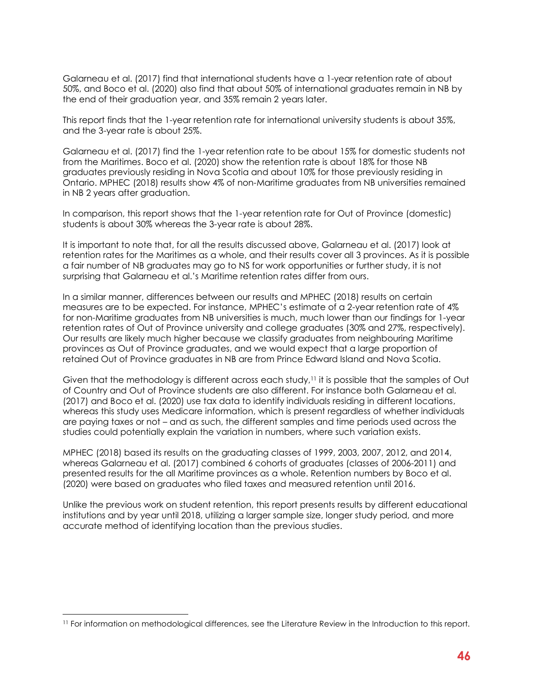Galarneau et al. (2017) find that international students have a 1-year retention rate of about 50%, and Boco et al. (2020) also find that about 50% of international graduates remain in NB by the end of their graduation year, and 35% remain 2 years later.

This report finds that the 1-year retention rate for international university students is about 35%, and the 3-year rate is about 25%.

Galarneau et al. (2017) find the 1-year retention rate to be about 15% for domestic students not from the Maritimes. Boco et al. (2020) show the retention rate is about 18% for those NB graduates previously residing in Nova Scotia and about 10% for those previously residing in Ontario. MPHEC (2018) results show 4% of non-Maritime graduates from NB universities remained in NB 2 years after graduation.

In comparison, this report shows that the 1-year retention rate for Out of Province (domestic) students is about 30% whereas the 3-year rate is about 28%.

It is important to note that, for all the results discussed above, Galarneau et al. (2017) look at retention rates for the Maritimes as a whole, and their results cover all 3 provinces. As it is possible a fair number of NB graduates may go to NS for work opportunities or further study, it is not surprising that Galarneau et al.'s Maritime retention rates differ from ours.

In a similar manner, differences between our results and MPHEC (2018) results on certain measures are to be expected. For instance, MPHEC's estimate of a 2-year retention rate of 4% for non-Maritime graduates from NB universities is much, much lower than our findings for 1-year retention rates of Out of Province university and college graduates (30% and 27%, respectively). Our results are likely much higher because we classify graduates from neighbouring Maritime provinces as Out of Province graduates, and we would expect that a large proportion of retained Out of Province graduates in NB are from Prince Edward Island and Nova Scotia.

Given that the methodology is different across each study,<sup>11</sup> it is possible that the samples of Out of Country and Out of Province students are also different. For instance both Galarneau et al. (2017) and Boco et al. (2020) use tax data to identify individuals residing in different locations, whereas this study uses Medicare information, which is present regardless of whether individuals are paying taxes or not – and as such, the different samples and time periods used across the studies could potentially explain the variation in numbers, where such variation exists.

MPHEC (2018) based its results on the graduating classes of 1999, 2003, 2007, 2012, and 2014, whereas Galarneau et al. (2017) combined 6 cohorts of graduates (classes of 2006-2011) and presented results for the all Maritime provinces as a whole. Retention numbers by Boco et al. (2020) were based on graduates who filed taxes and measured retention until 2016.

Unlike the previous work on student retention, this report presents results by different educational institutions and by year until 2018, utilizing a larger sample size, longer study period, and more accurate method of identifying location than the previous studies.

<sup>11</sup> For information on methodological differences, see the Literature Review in the Introduction to this report.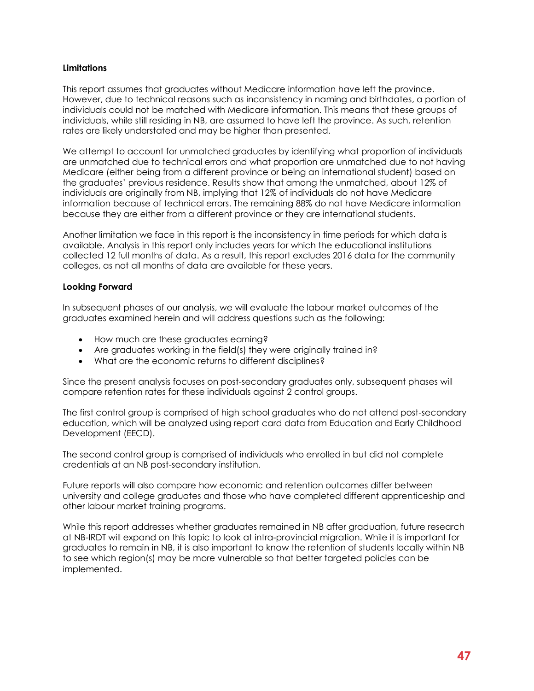#### **Limitations**

This report assumes that graduates without Medicare information have left the province. However, due to technical reasons such as inconsistency in naming and birthdates, a portion of individuals could not be matched with Medicare information. This means that these groups of individuals, while still residing in NB, are assumed to have left the province. As such, retention rates are likely understated and may be higher than presented.

We attempt to account for unmatched graduates by identifying what proportion of individuals are unmatched due to technical errors and what proportion are unmatched due to not having Medicare (either being from a different province or being an international student) based on the graduates' previous residence. Results show that among the unmatched, about 12% of individuals are originally from NB, implying that 12% of individuals do not have Medicare information because of technical errors. The remaining 88% do not have Medicare information because they are either from a different province or they are international students.

Another limitation we face in this report is the inconsistency in time periods for which data is available. Analysis in this report only includes years for which the educational institutions collected 12 full months of data. As a result, this report excludes 2016 data for the community colleges, as not all months of data are available for these years.

#### **Looking Forward**

In subsequent phases of our analysis, we will evaluate the labour market outcomes of the graduates examined herein and will address questions such as the following:

- How much are these graduates earning?
- Are graduates working in the field(s) they were originally trained in?
- What are the economic returns to different disciplines?

Since the present analysis focuses on post-secondary graduates only, subsequent phases will compare retention rates for these individuals against 2 control groups.

The first control group is comprised of high school graduates who do not attend post-secondary education, which will be analyzed using report card data from Education and Early Childhood Development (EECD).

The second control group is comprised of individuals who enrolled in but did not complete credentials at an NB post-secondary institution.

Future reports will also compare how economic and retention outcomes differ between university and college graduates and those who have completed different apprenticeship and other labour market training programs.

While this report addresses whether graduates remained in NB after graduation, future research at NB-IRDT will expand on this topic to look at intra-provincial migration. While it is important for graduates to remain in NB, it is also important to know the retention of students locally within NB to see which region(s) may be more vulnerable so that better targeted policies can be implemented.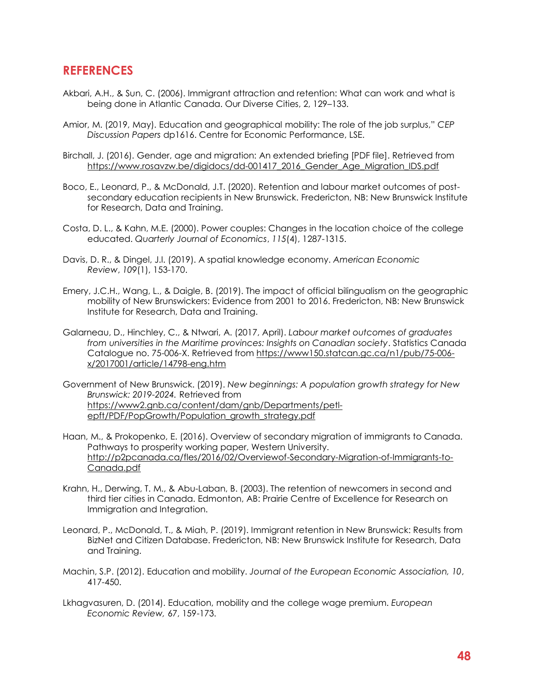# <span id="page-54-0"></span>**REFERENCES**

- Akbari, A.H., & Sun, C. (2006). Immigrant attraction and retention: What can work and what is being done in Atlantic Canada. Our Diverse Cities, 2, 129–133.
- Amior, M. (2019, May). Education and geographical mobility: The role of the job surplus," *CEP Discussion Papers* dp1616. Centre for Economic Performance, LSE.
- Birchall, J. (2016). Gender, age and migration: An extended briefing [PDF file]. Retrieved from [https://www.rosavzw.be/digidocs/dd-001417\\_2016\\_Gender\\_Age\\_Migration\\_IDS.pdf](https://www.rosavzw.be/digidocs/dd-001417_2016_Gender_Age_Migration_IDS.pdf)
- Boco, E., Leonard, P., & McDonald, J.T. (2020). Retention and labour market outcomes of postsecondary education recipients in New Brunswick. Fredericton, NB: New Brunswick Institute for Research, Data and Training.
- Costa, D. L., & Kahn, M.E. (2000). Power couples: Changes in the location choice of the college educated. *Quarterly Journal of Economics*, *115*(4), 1287-1315.
- Davis, D. R., & Dingel, J.I. (2019). A spatial knowledge economy. *American Economic Review*, *109*(1), 153-170.
- Emery, J.C.H., Wang, L., & Daigle, B. (2019). The impact of official bilingualism on the geographic mobility of New Brunswickers: Evidence from 2001 to 2016. Fredericton, NB: New Brunswick Institute for Research, Data and Training.
- Galarneau, D., Hinchley, C., & Ntwari, A. (2017, April). *Labour market outcomes of graduates from universities in the Maritime provinces: Insights on Canadian society*. Statistics Canada Catalogue no. 75-006-X. Retrieved from [https://www150.statcan.gc.ca/n1/pub/75-006](https://www150.statcan.gc.ca/n1/pub/75-006-x/2017001/article/14798-eng.htm) [x/2017001/article/14798-eng.htm](https://www150.statcan.gc.ca/n1/pub/75-006-x/2017001/article/14798-eng.htm)
- Government of New Brunswick. (2019). *New beginnings: A population growth strategy for New Brunswick: 2019-2024.* Retrieved from [https://www2.gnb.ca/content/dam/gnb/Departments/petl](https://www2.gnb.ca/content/dam/gnb/Departments/petl-epft/PDF/PopGrowth/Population_growth_strategy.pdf)[epft/PDF/PopGrowth/Population\\_growth\\_strategy.pdf](https://www2.gnb.ca/content/dam/gnb/Departments/petl-epft/PDF/PopGrowth/Population_growth_strategy.pdf)
- Haan, M., & Prokopenko, E. (2016). Overview of secondary migration of immigrants to Canada. Pathways to prosperity working paper, Western University. [http://p2pcanada.ca/fles/2016/02/Overviewof-Secondary-Migration-of-Immigrants-to-](http://p2pcanada.ca/fles/2016/02/Overviewof-Secondary-Migration-of-Immigrants-to-Canada.pdf)[Canada.pdf](http://p2pcanada.ca/fles/2016/02/Overviewof-Secondary-Migration-of-Immigrants-to-Canada.pdf)
- Krahn, H., Derwing, T. M., & Abu-Laban, B. (2003). The retention of newcomers in second and third tier cities in Canada. Edmonton, AB: Prairie Centre of Excellence for Research on Immigration and Integration.
- Leonard, P., McDonald, T., & Miah, P. (2019). Immigrant retention in New Brunswick: Results from BizNet and Citizen Database. Fredericton, NB: New Brunswick Institute for Research, Data and Training.
- Machin, S.P. (2012). Education and mobility. *Journal of the European Economic Association, 10*, 417-450.
- Lkhagvasuren, D. (2014). Education, mobility and the college wage premium. *European Economic Review,* 67, 159-173.